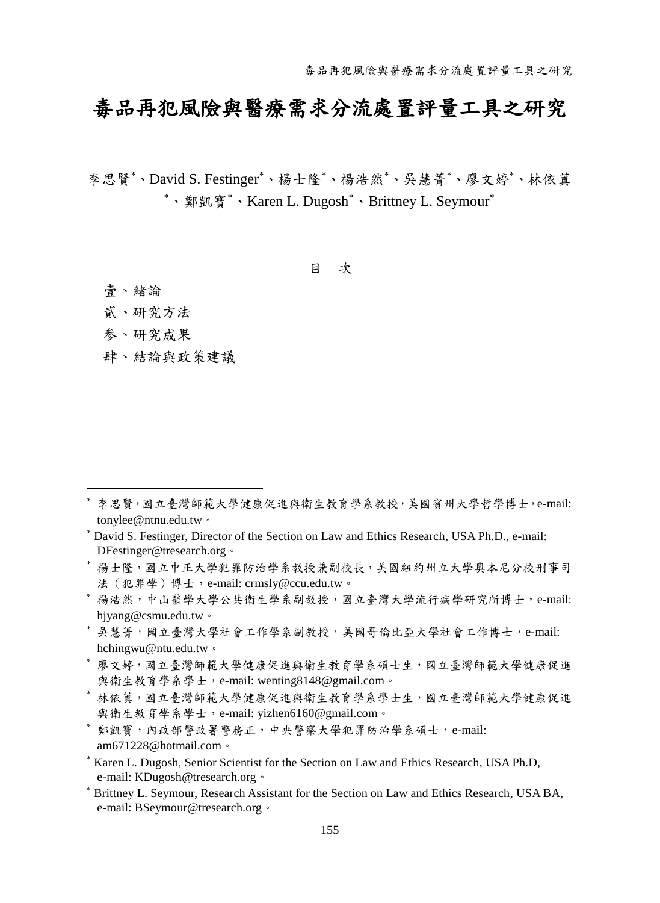# 毒品再犯風險與醫療需求分流處置評量工具之研究

李思賢\*、David S. Festinger\*、楊士隆\*、楊浩然\*、吳慧菁\*、廖文婷\*、林依董 \*、鄭凱寶\*、Karen L. Dugosh\*、Brittney L. Seymour\*

壹、緒論 貳、研究方法 参、研究成果 肆、結論與政策建議

 $\overline{a}$ 

- 楊士隆,國立中正大學犯罪防治學系教授兼副校長,美國紐約州立大學奧本尼分校刑事司 法(犯罪學)博士,e-mail: crmsly@ccu.edu.tw。
- 楊浩然,中山醫學大學公共衛生學系副教授,國立臺灣大學流行病學研究所博士,e-mail: hjyang@csmu.edu.tw。
- 吳慧菁,國立臺灣大學社會工作學系副教授,美國哥倫比亞大學社會工作博士,e-mail: hchingwu@ntu.edu.tw。
- 廖文婷,國立臺灣師範大學健康促進與衛生教育學系碩士生,國立臺灣師範大學健康促進 與衛生教育學系學士,e-mail: wenting8148@gmail.com。
- 林依蒖,國立臺灣師範大學健康促進與衛生教育學系學士生,國立臺灣師範大學健康促進 與衛生教育學系學士,e-mail: yizhen6160@gmail.com。
- 鄭凱寶,內政部警政署警務正,中央警察大學犯罪防治學系碩士,e-mail: am671228@hotmail.com。
- \* Karen L. Dugosh, Senior Scientist for the Section on Law and Ethics Research, USA Ph.D. e-mail: KDugosh@tresearch.org。
- Brittney L. Seymour, Research Assistant for the Section on Law and Ethics Research, USA BA, e-mail: BSeymour@tresearch.org。

李思賢,國立臺灣師範大學健康促進與衛生教育學系教授,美國賓州大學哲學博士,e-mail: tonylee@ntnu.edu.tw。

David S. Festinger, Director of the Section on Law and Ethics Research, USA Ph.D., e-mail: DFestinger@tresearch.org。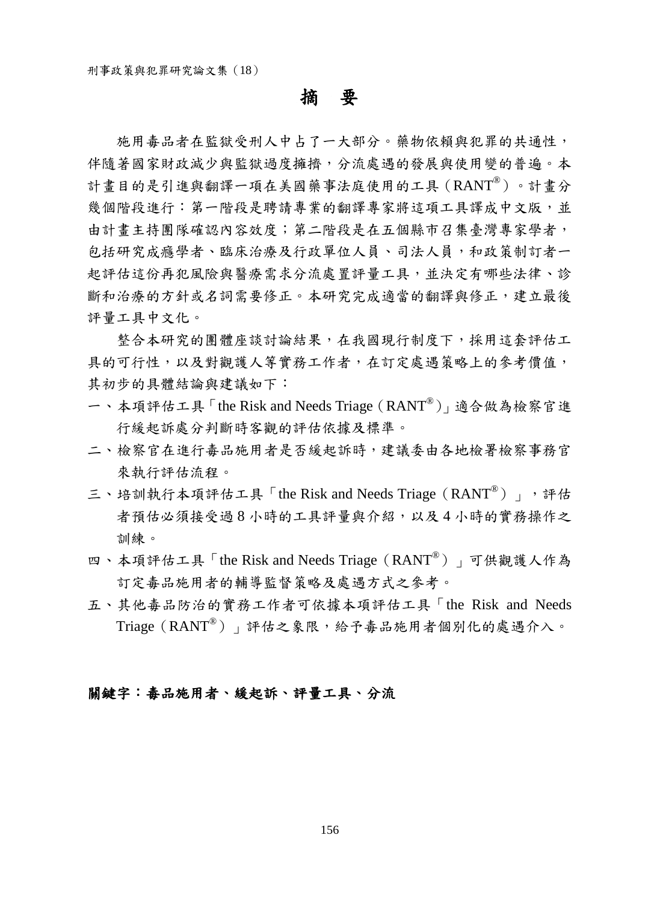## 摘要

施用毒品者在監獄受刑人中占了一大部分。藥物依賴與犯罪的共通性, 伴隨著國家財政減少與監獄過度擁擠,分流處遇的發展與使用變的普遍。本 計畫目的是引進與翻譯一項在美國藥事法庭使用的工具(RANT®)。計畫分 幾個階段進行:第一階段是聘請專業的翻譯專家將這項工具譯成中文版,並 由計畫主持團隊確認內容效度;第二階段是在五個縣市召集臺灣專家學者, 包括研究成癮學者、臨床治療及行政單位人員、司法人員,和政策制訂者一 起評估這份再犯風險與醫療需求分流處置評量工具,並決定有哪些法律、診 斷和治療的方針或名詞需要修正。本研究完成適當的翻譯與修正,建立最後 評量工具中文化。

整合本研究的團體座談討論結果,在我國現行制度下,採用這套評估工 具的可行性,以及對觀護人等實務工作者,在訂定處遇策略上的參考價值, 其初步的具體結論與建議如下:

- 一、本項評估工具「the Risk and Needs Triage(RANT®)」適合做為檢察官進 行緩起訴處分判斷時客觀的評估依據及標準。
- 二、檢察官在進行毒品施用者是否緩起訴時,建議委由各地檢署檢察事務官 來執行評估流程。
- 三、培訓執行本項評估工具「the Risk and Needs Triage (RANT®)」,所 者預估必須接受過8小時的工具評量與介紹,以及4小時的實務操作之 訓練。
- 四、本項評估工具「the Risk and Needs Triage(RANT® )」可供觀護人作為 訂定毒品施用者的輔導監督策略及處遇方式之參考。
- 五、其他毒品防治的實務工作者可依據本項評估工具「the Risk and Needs Triage(RANT®)」評估之象限,給予毒品施用者個別化的處遇介入。

#### 關鍵字:毒品施用者、緩起訴、評量工具、分流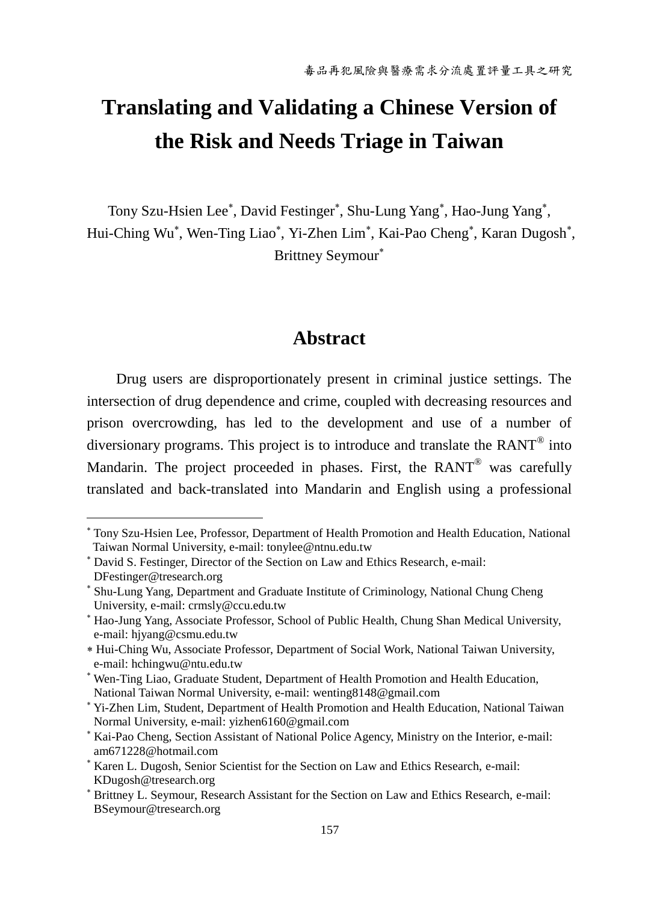# **Translating and Validating a Chinese Version of the Risk and Needs Triage in Taiwan**

Tony Szu-Hsien Lee\*, David Festinger\*, Shu-Lung Yang\*, Hao-Jung Yang\*, Hui-Ching Wu<sup>\*</sup>, Wen-Ting Liao<sup>\*</sup>, Yi-Zhen Lim<sup>\*</sup>, Kai-Pao Cheng<sup>\*</sup>, Karan Dugosh<sup>\*</sup>, Brittney Seymour

# **Abstract**

Drug users are disproportionately present in criminal justice settings. The intersection of drug dependence and crime, coupled with decreasing resources and prison overcrowding, has led to the development and use of a number of diversionary programs. This project is to introduce and translate the  $RANT^{\circ}$  into Mandarin. The project proceeded in phases. First, the RANT® was carefully translated and back-translated into Mandarin and English using a professional

 $\overline{a}$ 

Tony Szu-Hsien Lee, Professor, Department of Health Promotion and Health Education, National Taiwan Normal University, e-mail: tonylee@ntnu.edu.tw

David S. Festinger, Director of the Section on Law and Ethics Research, e-mail: DFestinger@tresearch.org

Shu-Lung Yang, Department and Graduate Institute of Criminology, National Chung Cheng University, e-mail: crmsly@ccu.edu.tw

Hao-Jung Yang, Associate Professor, School of Public Health, Chung Shan Medical University, e-mail: hjyang@csmu.edu.tw

Hui-Ching Wu, Associate Professor, Department of Social Work, National Taiwan University, e-mail: hchingwu@ntu.edu.tw

Wen-Ting Liao, Graduate Student, Department of Health Promotion and Health Education, National Taiwan Normal University, e-mail: wenting8148@gmail.com

Yi-Zhen Lim, Student, Department of Health Promotion and Health Education, National Taiwan Normal University, e-mail: yizhen6160@gmail.com

Kai-Pao Cheng, Section Assistant of National Police Agency, Ministry on the Interior, e-mail: am671228@hotmail.com

<sup>&</sup>lt;sup>\*</sup> Karen L. Dugosh, Senior Scientist for the Section on Law and Ethics Research, e-mail: KDugosh@tresearch.org

Brittney L. Seymour, Research Assistant for the Section on Law and Ethics Research, e-mail: BSeymour@tresearch.org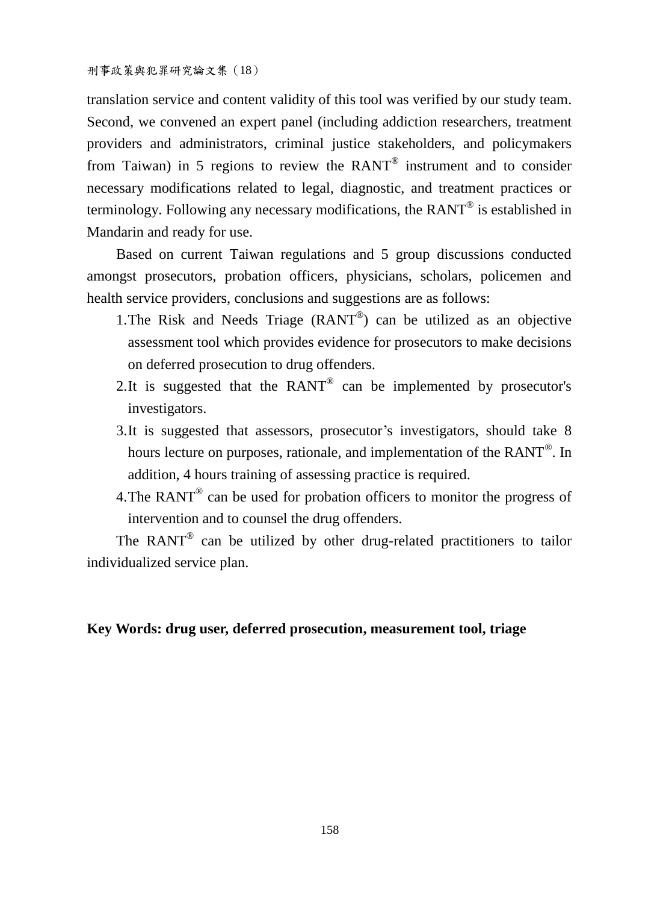translation service and content validity of this tool was verified by our study team. Second, we convened an expert panel (including addiction researchers, treatment providers and administrators, criminal justice stakeholders, and policymakers from Taiwan) in 5 regions to review the  $RANT^{\circledast}$  instrument and to consider necessary modifications related to legal, diagnostic, and treatment practices or terminology. Following any necessary modifications, the RANT $^{\circ}$  is established in Mandarin and ready for use.

Based on current Taiwan regulations and 5 group discussions conducted amongst prosecutors, probation officers, physicians, scholars, policemen and health service providers, conclusions and suggestions are as follows:

- 1.The Risk and Needs Triage (RANT® ) can be utilized as an objective assessment tool which provides evidence for prosecutors to make decisions on deferred prosecution to drug offenders.
- 2. It is suggested that the  $RANT^@$  can be implemented by prosecutor's investigators.
- 3.It is suggested that assessors, prosecutor's investigators, should take 8 hours lecture on purposes, rationale, and implementation of the  $\text{RANT}^\circ$ . In addition, 4 hours training of assessing practice is required.
- 4. The RANT $^{\circ}$  can be used for probation officers to monitor the progress of intervention and to counsel the drug offenders.

The  $RANT^{\circ}$  can be utilized by other drug-related practitioners to tailor individualized service plan.

#### **Key Words: drug user, deferred prosecution, measurement tool, triage**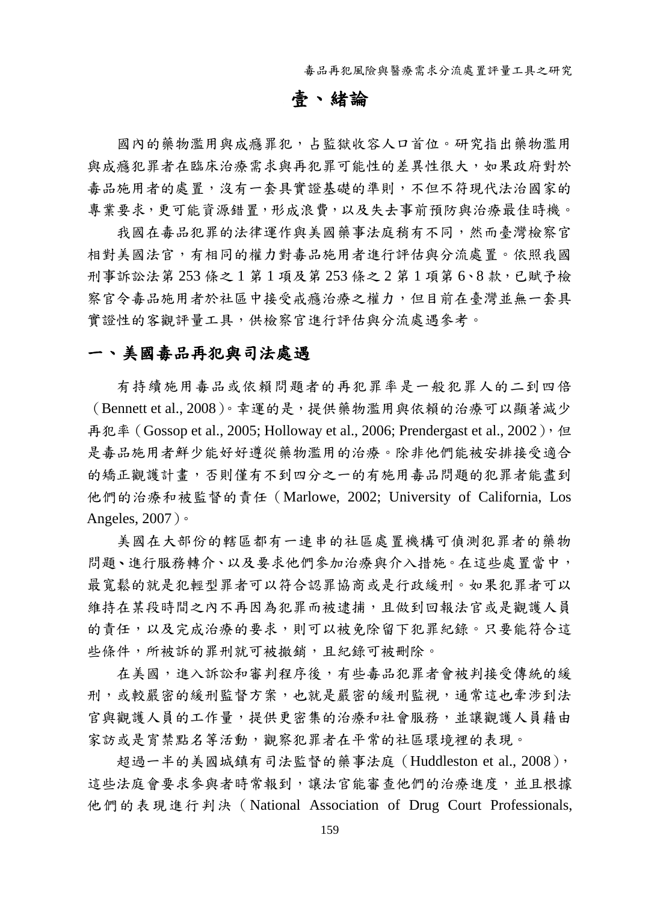毒品再犯風險與醫療需求分流處置評量工具之研究

# 壹、緒論

國內的藥物濫用與成癮罪犯,占監獄收容人口首位。研究指出藥物濫用 與成癮犯罪者在臨床治療需求與再犯罪可能性的差異性很大,如果政府對於 毒品施用者的處置,沒有一套具實證基礎的準則,不但不符現代法治國家的 專業要求,更可能資源錯置,形成浪費,以及失去事前預防與治療最佳時機。

我國在毒品犯罪的法律運作與美國藥事法庭稍有不同,然而臺灣檢察官 相對美國法官,有相同的權力對毒品施用者進行評估與分流處置。依照我國 刑事訴訟法第 253 條之1 第1 項及第 253 條之 2 第1 項第 6、8 款, 已賦予檢 察官令毒品施用者於社區中接受戒癮治療之權力,但目前在臺灣並無一套具 實證性的客觀評量工具,供檢察官進行評估與分流處遇參考。

#### 一、 美國毒品再犯與司法處遇

有持續施用毒品或依賴問題者的再犯罪率是一般犯罪人的二到四倍 (Bennett et al.,  $2008$ )。幸運的是,提供藥物濫用與依賴的治療可以顯著減少 再犯率 (Gossop et al., 2005; Holloway et al., 2006; Prendergast et al., 2002), 但 是毒品施用者鮮少能好好遵從藥物濫用的治療。除非他們能被安排接受適合 的矯正觀護計畫,否則僅有不到四分之一的有施用毒品問題的犯罪者能盡到 他們的治療和被監督的責任(Marlowe, 2002; University of California, Los Angeles, 2007)。

美國在大部份的轄區都有一連串的社區處置機構可偵測犯罪者的藥物 問題、進行服務轉介、以及要求他們參加治療與介入措施。在這些處置當中, 最寬鬆的就是犯輕型罪者可以符合認罪協商或是行政緩刑。如果犯罪者可以 維持在某段時間之內不再因為犯罪而被逮捕,且做到回報法官或是觀護人員 的責任,以及完成治療的要求,則可以被免除留下犯罪紀錄。只要能符合這 些條件,所被訴的罪刑就可被撤銷,且紀錄可被刪除。

在美國,進入訴訟和審判程序後,有些毒品犯罪者會被判接受傳統的緩 刑,或較嚴密的緩刑監督方案,也就是嚴密的緩刑監視,通常這也牽涉到法 官與觀護人員的工作量,提供更密集的治療和社會服務,並讓觀護人員藉由 家訪或是宵禁點名等活動,觀察犯罪者在平常的社區環境裡的表現。

超過一半的美國城鎮有司法監督的藥事法庭 (Huddleston et al., 2008), 這些法庭會要求參與者時常報到,讓法官能審查他們的治療進度,並且根據 他們的表現進行判決(National Association of Drug Court Professionals,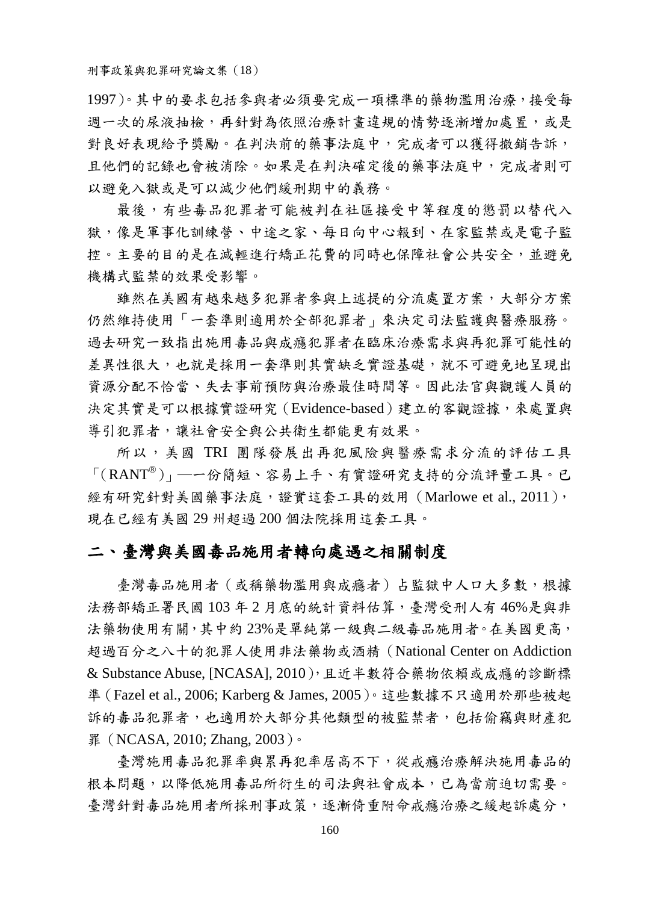1997)。其中的要求包括參與者必須要完成一項標準的藥物濫用治療,接受每 週一次的尿液抽檢,再針對為依照治療計書違規的情勢逐漸增加處置,或是 對良好表現給予獎勵。在判決前的藥事法庭中,完成者可以獲得撤銷告訴, 且他們的記錄也會被消除。如果是在判決確定後的藥事法庭中,完成者則可 以避免入獄或是可以減少他們緩刑期中的義務。

最後,有些毒品犯罪者可能被判在社區接受中等程度的懲罰以替代入 獄,像是軍事化訓練營、中途之家、每日向中心報到、在家監禁或是電子監 控。主要的目的是在減輕進行矯正花費的同時也保障社會公共安全,並避免 機構式監禁的效果受影響。

雖然在美國有越來越多犯罪者參與上述提的分流處置方案,大部分方案 仍然維持使用「一套準則適用於全部犯罪者」來決定司法監護與醫療服務。 過去研究一致指出施用毒品與成癮犯罪者在臨床治療需求與再犯罪可能性的 差異性很大,也就是採用一套準則其實缺乏實證基礎,就不可避免地呈現出 資源分配不恰當、失去事前預防與治療最佳時間等。因此法官與觀護人員的 決定其實是可以根據實證研究(Evidence-based)建立的客觀證據,來處置與 導引犯罪者,讓社會安全與公共衛生都能更有效果。

所以,美國 TRI 團隊發展出再犯風險與醫療需求分流的評估工具 「(RANT®)」─一份簡短、容易上手、有實證研究支持的分流評量工具。已 經有研究針對美國藥事法庭,證實這套工具的效用 (Marlowe et al., 2011), 現在已經有美國 29 州超過 200 個法院採用這套工具。

#### 二、 臺灣與美國毒品施用者轉向處遇之相關制度

臺灣毒品施用者(或稱藥物濫用與成癮者)占監獄中人口大多數,根據 法務部矯正署民國 103 年 2 月底的統計資料估算,臺灣受刑人有 46%是與非 法藥物使用有關,其中約 23%是單純第一級與二級毒品施用者。在美國更高, 超過百分之八十的犯罪人使用非法藥物或酒精(National Center on Addiction & Substance Abuse, [NCASA], 2010),且近半數符合藥物依賴或成癮的診斷標 準(Fazel et al., 2006; Karberg & James, 2005)。這些數據不只適用於那些被起 訴的毒品犯罪者,也適用於大部分其他類型的被監禁者,包括偷竊與財產犯 罪 (NCASA, 2010; Zhang, 2003)。

臺灣施用毒品犯罪率與累再犯率居高不下,從戒癮治療解決施用毒品的 根本問題,以降低施用毒品所衍生的司法與社會成本,已為當前迫切需要。 臺灣針對毒品施用者所採刑事政策,逐漸倚重附命戒癮治療之緩起訴處分,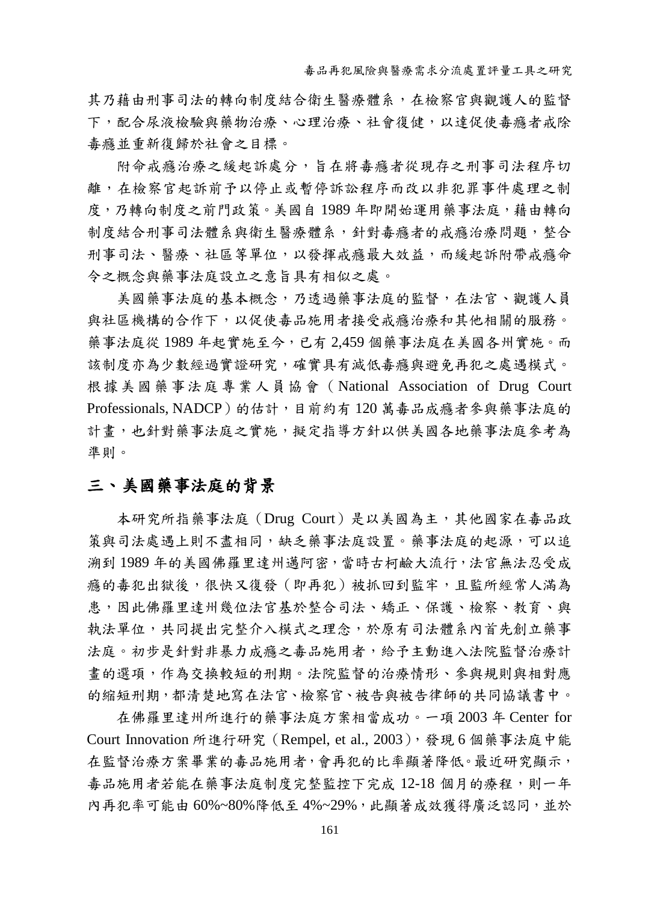其乃藉由刑事司法的轉向制度結合衛生醫療體系,在檢察官與觀護人的監督 下,配合尿液檢驗與物治療、心理治療、社會復健,以達促使毒癮者戒除 毒癮並重新復歸於社會之目標。

附命戒癮治療之緩起訴處分,旨在將毒癮者從現存之刑事司法程序切 離,在檢察官起訴前予以停止或暫停訴訟程序而改以非犯罪事件處理之制 度,乃轉向制度之前門政策。美國自 1989 年即開始運用藥事法庭, 藉由轉向 制度結合刑事司法體系與衛生醫療體系,針對毒癮者的戒癮治療問題,整合 刑事司法、醫療、社區等單位,以發揮戒癮最大效益,而緩起訴附帶戒癮命 令之概念與藥事法庭設立之意旨具有相似之處。

美國藥事法庭的基本概念,乃透過藥事法庭的監督,在法官、觀護人員 與社區機構的合作下,以促使毒品施用者接受戒癮治療和其他相關的服務。 藥事法庭從 1989 年起實施至今,已有 2,459 個藥事法庭在美國各州實施。而 該制度亦為少數經過實證研究,確實具有減低毒癮與避免再犯之處遇模式。 根據美國藥事法庭專業人員協會(National Association of Drug Court Professionals, NADCP) 的估計, 目前約有 120 萬毒品成癮者參與藥事法庭的 計書,也針對藥事法庭之實施,擬定指導方針以供美國各地藥事法庭參考為 準則。

### 三、 美國藥事法庭的背景

本研究所指藥事法庭(Drug Court)是以美國為主,其他國家在毒品政 策與司法處遇上則不盡相同,缺乏藥事法庭設置。藥事法庭的起源,可以追 溯到 1989 年的美國佛羅里達州邁阿密,當時古柯鹼大流行,法官無法忍受成 癮的毒犯出獄後,很快又復發(即再犯)被抓回到監牢,且監所經常人滿為 患,因此佛羅里達州幾位法官基於整合司法、矯正、保護、檢察、教育、與 執法單位,共同提出完整介入模式之理念,於原有司法體系內首先創立藥事 法庭。初步是針對非暴力成癮之毒品施用者,給予主動進入法院監督治療計 畫的選項,作為交換較短的刑期。法院監督的治療情形、參與規則與相對應 的縮短刑期,都清楚地寫在法官、檢察官、被告與被告律師的共同協議書中。

在佛羅里達州所進行的藥事法庭方案相當成功。一項 2003 年 Center for Court Innovation 所進行研究(Rempel, et al., 2003),發現 6 個藥事法庭中能 在監督治療方案畢業的毒品施用者,會再犯的比率顯著降低。最近研究顯示, 毒品施用者若能在藥事法庭制度完整監控下完成 12-18 個月的療程,則一年 內再犯率可能由 60%~80%降低至 4%~29%,此顯著成效獲得廣泛認同,並於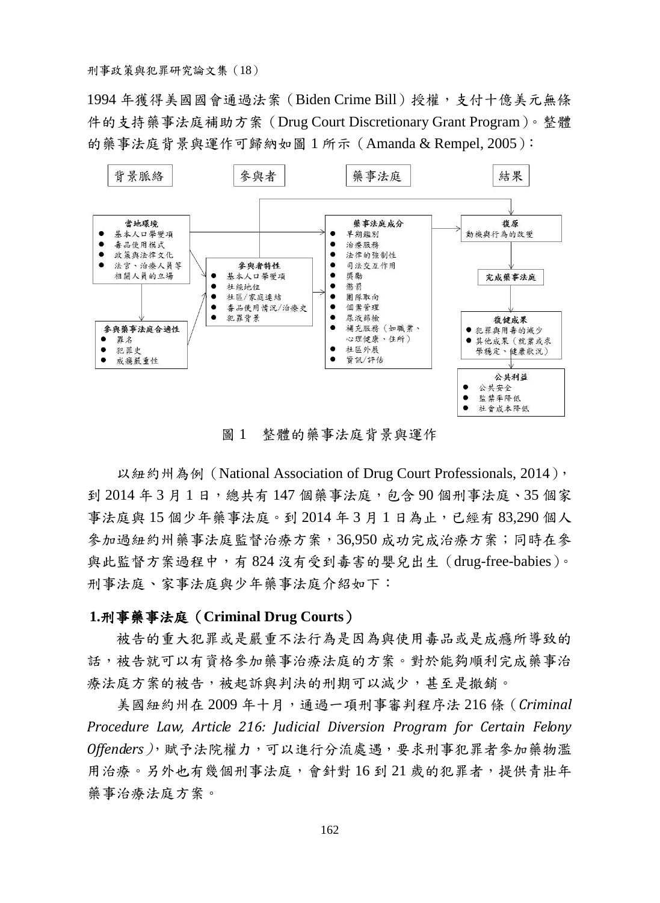1994 年獲得美國國會通過法案 (Biden Crime Bill) 授權,支付十億美元無條 件的支持藥事法庭補助方案(Drug Court Discretionary Grant Program)。整體 的藥事法庭背景與運作可歸納如圖 1 所示(Amanda & Rempel, 2005):



圖 1 整體的藥事法庭背景與運作

以紐約州為例 (National Association of Drug Court Professionals, 2014), 到 2014 年 3 月 1 日,總共有 147 個藥事法庭,包含 90 個刑事法庭、35 個家 事法庭與 15 個少年藥事法庭。到 2014 年 3 月 1 日為止,已經有 83,290 個人 參加過紐約州藥事法庭監督治療方案,36,950 成功完成治療方案;同時在參 與此監督方案過程中,有 824 沒有受到毒害的嬰兒出生(drug-free-babies)。 刑事法庭、家事法庭與少年藥事法庭介紹如下:

#### **1.**刑事藥事法庭(**Criminal Drug Courts**)

被告的重大犯罪或是嚴重不法行為是因為與使用毒品或是成癮所導致的 話,被告就可以有資格參加藥事治療法庭的方案。對於能夠順利完成藥事治 療法庭方案的被告,被起訴與判決的刑期可以減少,甚至是撤銷。

美國紐約州在 2009 年十月,通過一項刑事審判程序法 216 條(*Criminal Procedure Law, Article 216: Judicial Diversion Program for Certain Felony Offenders)*, 賦予法院權力, 可以進行分流處遇, 要求刑事犯罪者參加藥物濫 用治療。另外也有幾個刑事法庭,會針對16到21歲的犯罪者,提供青壯年 藥事治療法庭方案。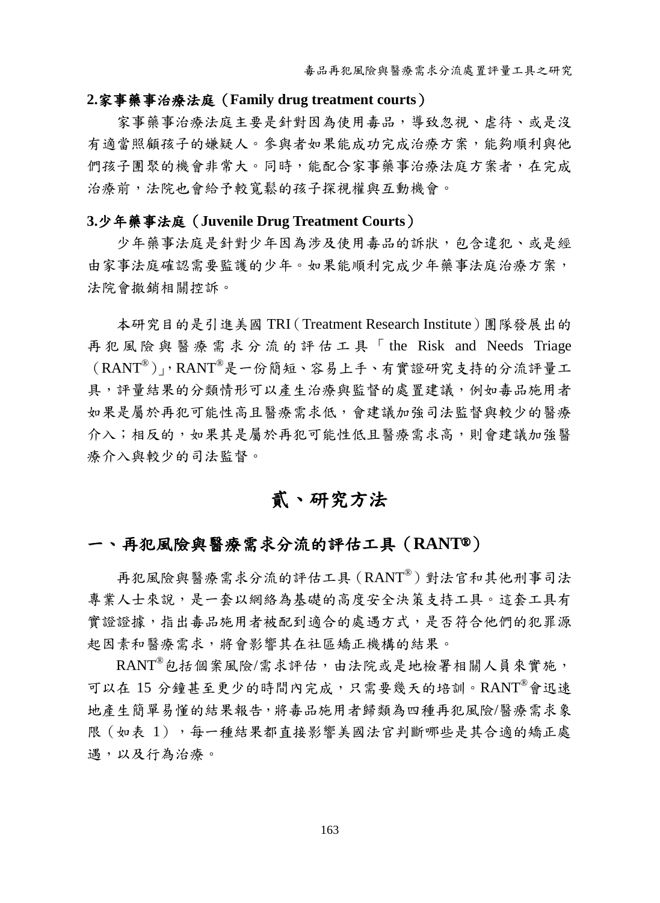#### **2.**家事藥事治療法庭(**Family drug treatment courts**)

家事藥事治療法庭主要是針對因為使用毒品,導致忽視、虐待、或是沒 有適當照顧孩子的嫌疑人。參與者如果能成功完成治療方案,能夠順利與他 們孩子團聚的機會非常大。同時,能配合家事藥事治療法庭方案者,在完成 治療前,法院也會給予較寬鬆的孩子探視權與互動機會。

#### **3.**少年藥事法庭(**Juvenile Drug Treatment Courts**)

少年藥事法庭是針對少年因為涉及使用毒品的訴狀,包含違犯、或是經 由家事法庭確認需要監護的少年。如果能順利完成少年藥事法庭治療方案, 法院會撤銷相關控訴。

本研究目的是引進美國 TRI([Treatment Research Institute](http://www.tresearch.org/))團隊發展出的 再犯風險與醫療需求分流的評估工具「 the Risk and Needs Triage (RANT®)」,RANT® 是一份簡短、容易上手、有實證研究支持的分流評量工 具,評量結果的分類情形可以產生治療與監督的處置建議,例如毒品施用者 如果是屬於再犯可能性高且醫療需求低,會建議加強司法監督與較少的醫療 介入;相反的,如果其是屬於再犯可能性低且醫療需求高,則會建議加強醫 療介入與較少的司法監督。

# 貳、研究方法

# 一、 再犯風險與醫療需求分流的評估工具(**RANT**®)

再犯風險與醫療需求分流的評估工具(RANT® )對法官和其他刑事司法 專業人士來說,是一套以網絡為基礎的高度安全決策支持工具。這套工具有 實證證據,指出毒品施用者被配到適合的處遇方式,是否符合他們的犯罪源 起因素和醫療需求,將會影響其在社區矯正機構的結果。

RANT<sup>®</sup>包括個案風險/需求評估,由法院或是地檢署相關人員來實施, 可以在 15 分鐘甚至更少的時間內完成,只需要幾天的培訓。RANT® 會迅速 地產生簡單易懂的結果報告,將毒品施用者歸類為四種再犯風險/醫療需求象 限(如表 1),每一種結果都直接影響美國法官判斷哪些是其合適的矯正處 遇,以及行為治療。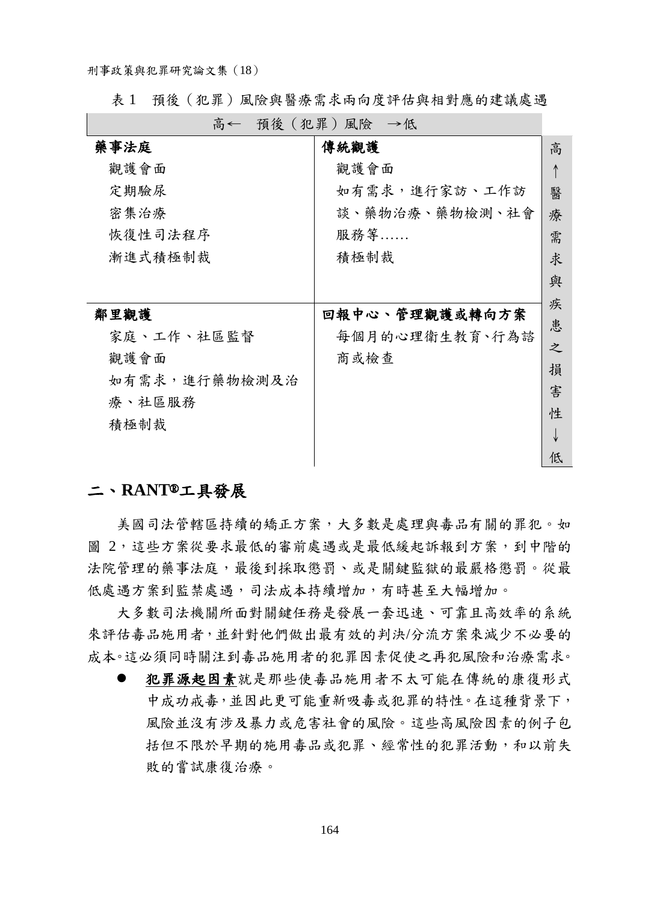表 1 預後(犯罪)風險與醫療需求兩向度評估與相對應的建議處遇

| 高← | 預後(犯罪)風險 | →低 |
|----|----------|----|
|    |          |    |

| 藥事法庭          | 傳統觀護           | 高 |
|---------------|----------------|---|
| 觀護會面          | 觀護會面           |   |
| 定期驗尿          | 如有需求,進行家訪、工作訪  | 醫 |
| 密集治療          | 談、藥物治療、藥物檢測、社會 | 療 |
| 恢復性司法程序       | 服務等            | 需 |
| 漸進式積極制裁       | 積極制裁           | 求 |
|               |                | 與 |
|               |                |   |
|               |                |   |
| 鄰里觀護          | 回報中心、管理觀護或轉向方案 | 疾 |
| 家庭、工作、社區監督    | 每個月的心理衛生教育、行為諮 | 患 |
|               |                | 之 |
| 觀護會面          | 商或檢查           | 損 |
| 如有需求,進行藥物檢測及治 |                |   |
| 療、社區服務        |                | 害 |
|               |                | 性 |
| 積極制裁          |                |   |

### 二、 **RANT**®工具發展

美國司法管轄區持續的矯正方案,大多數是處理與毒品有關的罪犯。如 圖 2,這些方案從要求最低的審前處遇或是最低緩起訴報到方案,到中階的 法院管理的藥事法庭,最後到採取懲罰、或是關鍵監獄的最嚴格懲罰。從最 低處遇方案到監禁處遇,司法成本持續增加,有時甚至大幅增加。

大多數司法機關所面對關鍵任務是發展一套迅速、可靠且高效率的系統 來評估毒品施用者,並針對他們做出最有效的判決/分流方案來減少不必要的 成本。這必須同時關注到毒品施用者的犯罪因素促使之再犯風險和治療需求。

 犯罪源起因素就是那些使毒品施用者不太可能在傳統的康復形式 中成功戒毒,並因此更可能重新吸毒或犯罪的特性。在這種背景下, 風險並沒有涉及暴力或危害社會的風險。這些高風險因素的例子包 括但不限於早期的施用毒品或犯罪、經常性的犯罪活動,和以前失 敗的嘗試康復治療。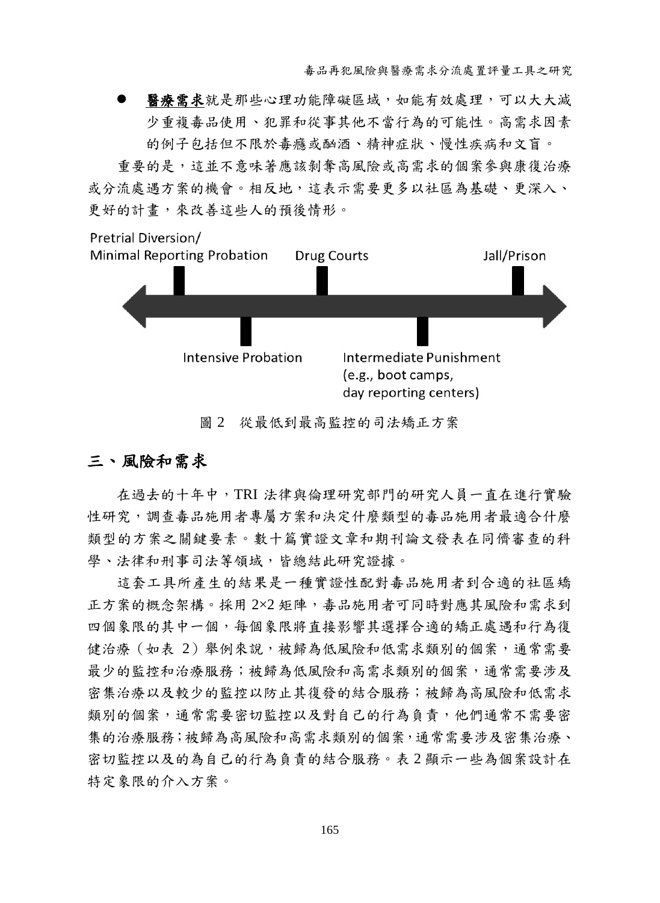毒品再犯風險與醫療需求分流處置評量工具之研究

 醫療需求就是那些心理功能障礙區域,如能有效處理,可以大大減 少重複毒品使用、犯罪和從事其他不當行為的可能性。高需求因素 的例子包括但不限於毒癮或酗酒、精神症狀、慢性疾病和文盲。

重要的是,這並不意味著應該剝奪高風險或高需求的個案參與康復治療 或分流處遇方案的機會。相反地,這表示需要更多以社區為基礎、更深入、 更好的計畫,來改善這些人的預後情形。



圖 2 從最低到最高監控的司法矯正方案

### 三、 風險和需求

在過去的十年中,TRI 法律與倫理研究部門的研究人員一直在進行實驗 性研究,調查毒品施用者專屬方案和決定什麼類型的毒品施用者最適合什麼 類型的方案之關鍵要素。數十篇實證文章和期刊論文發表在同儕審查的科 學、法律和刑事司法等領域,皆總結此研究證據。

這套工具所產生的結果是一種實證性配對毒品施用者到合適的社區矯 正方案的概念架構。採用 2×2 矩陣,毒品施用者可同時對應其風險和需求到 四個象限的其中一個,每個象限將直接影響其選擇合適的矯正處遇和行為復 健治療(如表 2)舉例來說,被歸為低風險和低需求類別的個案,通常需要 最少的監控和治療服務;被歸為低風險和高需求類別的個案,通常需要涉及 密集治療以及較少的監控以防止其復發的結合服務;被歸為高風險和低需求 類別的個案,通常需要密切監控以及對自己的行為負責,他們通常不需要密 集的治療服務;被歸為高風險和高需求類別的個案,通常需要涉及密集治療、 密切監控以及的為自己的行為負責的結合服務。表 2 顯示一些為個案設計在 特定象限的介入方案。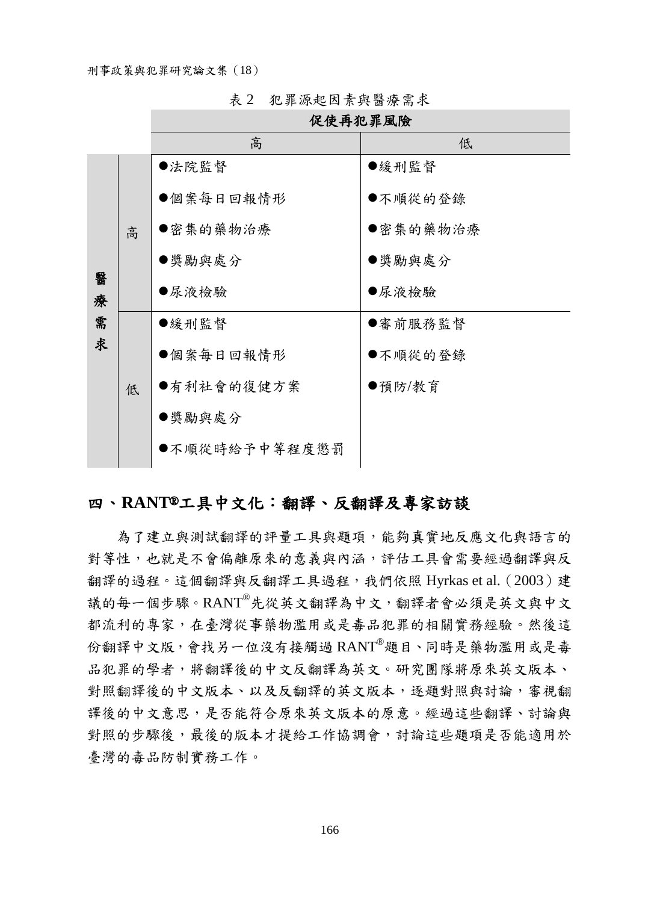|        |   | 促使再犯罪風險       |          |  |  |
|--------|---|---------------|----------|--|--|
|        |   | 高             | 低        |  |  |
|        | 高 | ●法院監督         | ●緩刑監督    |  |  |
|        |   | ●個案每日回報情形     | ●不順從的登錄  |  |  |
|        |   | ●密集的藥物治療      | ●密集的藥物治療 |  |  |
|        |   | ●獎勵與處分        | ●獎勵與處分   |  |  |
| 醫<br>療 |   | ●尿液檢驗         | ●尿液檢驗    |  |  |
| 需      |   | ●緩刑監督         | ●審前服務監督  |  |  |
| 求      |   | ●個案每日回報情形     | ●不順從的登錄  |  |  |
|        | 低 | ●有利社會的復健方案    | ●預防/教育   |  |  |
|        |   | ●獎勵與處分        |          |  |  |
|        |   | ●不順從時給予中等程度懲罰 |          |  |  |
|        |   |               |          |  |  |

表 2 犯罪源起因素與醫療需求

### 四、**RANT**®工具中文化:翻譯、反翻譯及專家訪談

<span id="page-11-0"></span>為了建立與測試翻譯的評量工具與題項,能夠真實地反應文化與語言的 對等性,也就是不會偏離原來的意義與內涵,評估工具會需要經過翻譯與反 翻譯的過程。這個翻譯與反翻譯工具過程,我們依照 [Hyrkas et](#page-24-0) al.(2003)建 議的每一個步驟。RANT®先從英文翻譯為中文,翻譯者會必須是英文與中文 都流利的專家,在臺灣從事藥物濫用或是毒品犯罪的相關實務經驗。然後這 份翻譯中文版,會找另一位沒有接觸過 RANT®題目、同時是藥物濫用或是毒 品犯罪的學者,將翻譯後的中文反翻譯為英文。研究團隊將原來英文版本、 對照翻譯後的中文版本、以及反翻譯的英文版本,逐題對照與討論,審視翻 譯後的中文意思,是否能符合原來英文版本的原意。經過這些翻譯、討論與 對照的步驟後,最後的版本才提給工作協調會,討論這些題項是否能適用於 臺灣的毒品防制實務工作。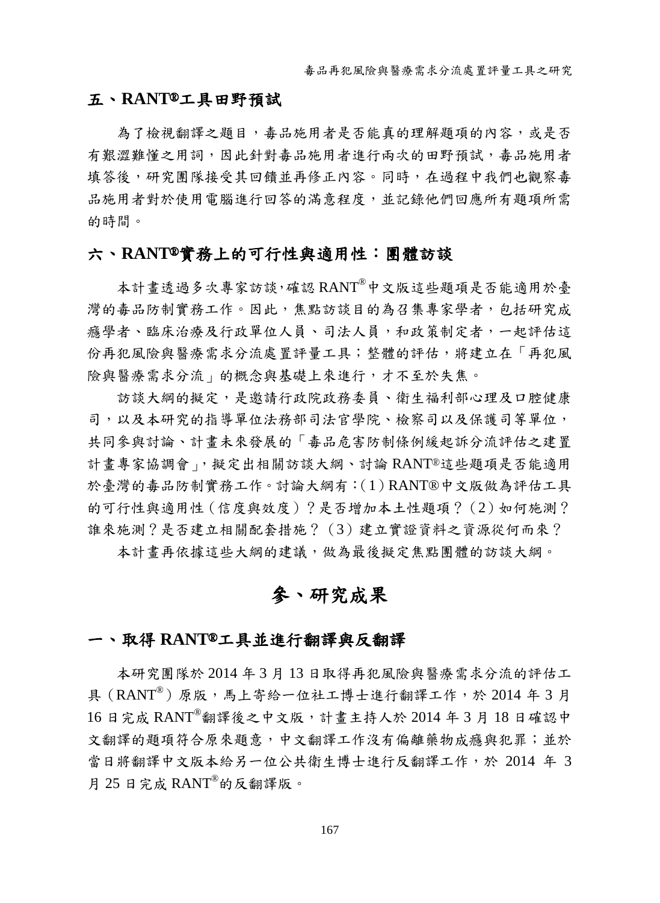#### 五、 **RANT**®工具田野預試

為了檢視翻譯之題目,毒品施用者是否能真的理解題項的內容,或是否 有艱澀難懂之用詞,因此針對毒品施用者進行兩次的田野預試,毒品施用者 填答後,研究團隊接受其回饋並再修正內容。同時,在過程中我們也觀察毒 品施用者對於使用電腦進行回答的滿意程度,並記錄他們回應所有題項所需 的時間。

### 六、 **RANT**®實務上的可行性與適用性:團體訪談

本計畫透過多次專家訪談,確認 RANT®中文版這些題項是否能適用於臺 灣的毒品防制實務工作。因此,焦點訪談目的為召集專家學者,包括研究成 癮學者、臨床治療及行政單位人員、司法人員,和政策制定者,一起評估這 份再犯風險與醫療需求分流處置評量工具;整體的評估,將建立在「再犯風 險與醫療需求分流」的概念與基礎上來進行,才不至於失焦。

訪談大綱的擬定,是邀請行政院政務委員、衛生福利部心理及口腔健康 司,以及本研究的指導單位法務部司法官學院、檢察司以及保護司等單位, 共同參與討論、計畫未來發展的「毒品危害防制條例緩起訴分流評估之建置 計書專家協調會」,擬定出相關訪談大綱、討論 RANT®這些題項是否能適用 於臺灣的毒品防制實務工作。討論大綱有:(1)RANT® 中文版做為評估工具 的可行性與適用性(信度與效度)?是否增加本土性題項?(2)如何施測? 誰來施測?是否建立相關配套措施?(3)建立實證資料之資源從何而來?

本計畫再依據這些大綱的建議,做為最後擬定焦點團體的訪談大綱。

# 參、研究成果

#### 一、 取得 **RANT**®工具並進行翻譯與反翻譯

本研究團隊於 2014 年 3 月 13 日取得再犯風險與醫療需求分流的評估工 具 (RANT®) 原版,馬上寄給一位社工博士進行翻譯工作,於 2014年3月 16 日完成 RANT®翻譯後之中文版,計畫主持人於 2014 年 3 月 18 日確認中 文翻譯的題項符合原來題意,中文翻譯工作沒有偏離藥物成癮與犯罪;並於 當日將翻譯中文版本給另一位公共衛生博士進行反翻譯工作,於 2014 年 3 月 25 日完成  $RANT^{\circ}$ 的反翻譯版。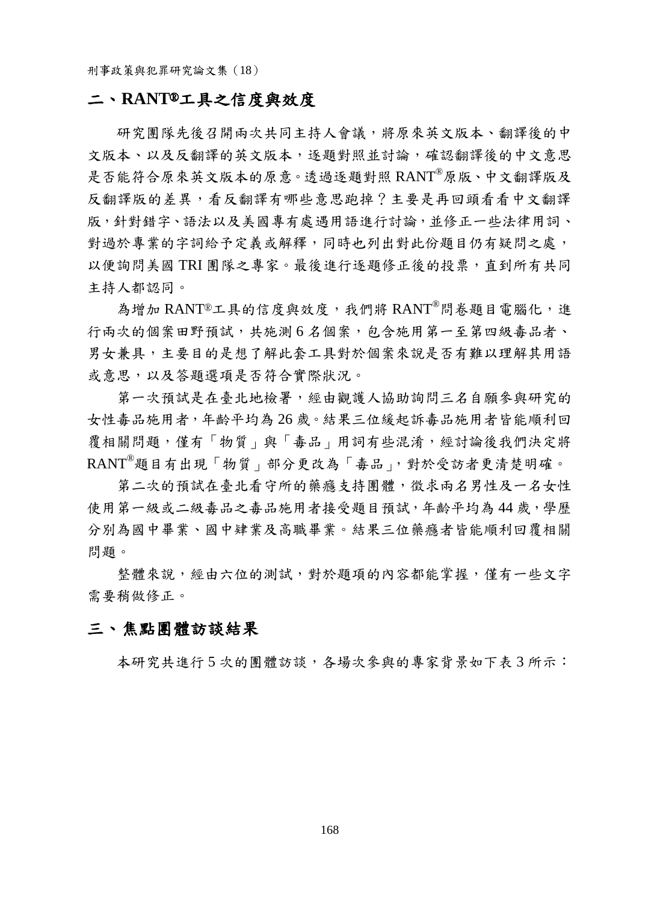#### 二、 **RANT**®工具之信度與效度

研究團隊先後召開兩次共同主持人會議,將原來英文版本、翻譯後的中 文版本、以及反翻譯的英文版本,逐題對照並討論,確認翻譯後的中文意思 是否能符合原來英文版本的原意。透過逐題對照 RANT®原版、中文翻譯版及 反翻譯版的差異,看反翻譯有哪些意思跑掉?主要是再回頭看看中文翻譯 版,針對錯字、語法以及美國專有處遇用語進行討論,並修正一些法律用詞、 對過於專業的字詞給予定義或解釋,同時也列出對此份題目仍有疑問之處, 以便詢問美國 TRI 團隊之專家。最後進行逐題修正後的投票,直到所有共同 主持人都認同。

為增加 RANT®工具的信度與效度,我們將 RANT® 問卷題目雷腦化,進 行兩次的個案田野預試,共施測6名個案,包含施用第一至第四級毒品者、 男女兼具,主要目的是想了解此套工具對於個案來說是否有難以理解其用語 或意思,以及答題選項是否符合實際狀況。

第一次預試是在臺北地檢署,經由觀護人協助詢問三名自願參與研究的 女性毒品施用者,年齡平均為 26 歲。結果三位緩起訴毒品施用者皆能順利回 覆相關問題,僅有「物質」與「毒品」用詞有些混淆,經討論後我們決定將 RANT®題目有出現「物質」部分更改為「毒品」,對於受訪者更清楚明確。

第二次的預試在臺北看守所的藥癮支持團體,徵求兩名男性及一名女性 使用第一級或二級毒品之毒品施用者接受題目預試,年齡平均為44歲,學歷 分別為國中畢業、國中肄業及高職畢業。結果三位藥癮者皆能順利回覆相關 問題。

整體來說,經由六位的測試,對於題項的內容都能掌握,僅有一些文字 需要稍做修正。

#### 三、 焦點團體訪談結果

本研究共進行 5 次的團體訪談,各場次參與的專家背景如下表 3 所示: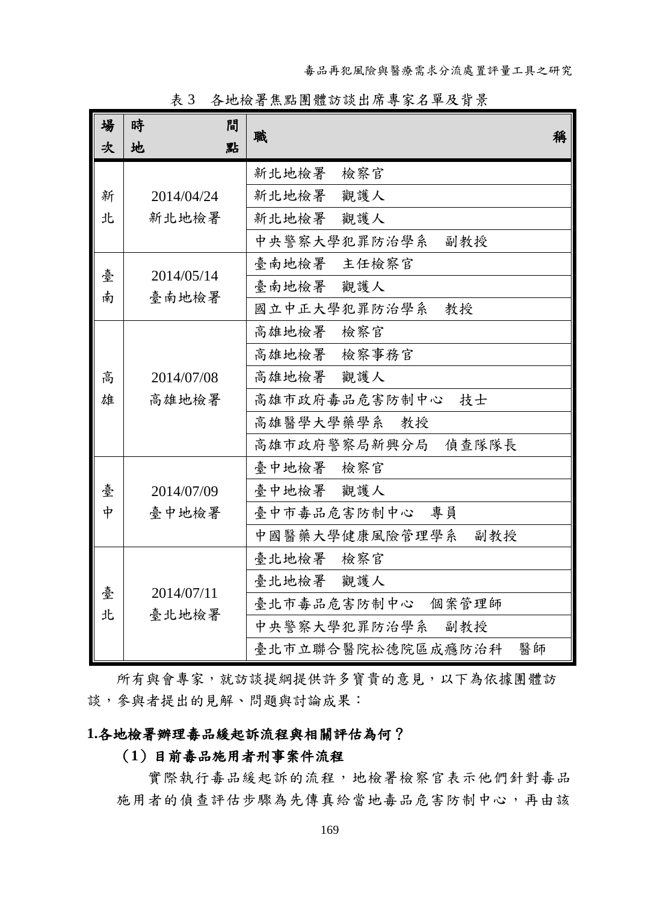| 場<br>次 | 時<br>間<br>地<br>點 | 職<br>稱                  |
|--------|------------------|-------------------------|
|        |                  | 新北地檢署<br>檢察官            |
| 新      | 2014/04/24       | 觀護人<br>新北地檢署            |
| 北      | 新北地檢署            | 新北地檢署<br>觀護人            |
|        |                  | 中央警察大學犯罪防治學系<br>副教授     |
| 臺      | 2014/05/14       | 臺南地檢署 主任檢察官             |
| 南      | 臺南地檢署            | 臺南地檢署 觀護人               |
|        |                  | 國立中正大學犯罪防治學系<br>教授      |
|        |                  | 高雄地檢署<br>檢察官            |
|        |                  | 高雄地檢署 檢察事務官             |
| 高      | 2014/07/08       | 高雄地檢署 觀護人               |
| 雄      | 高雄地檢署            | 高雄市政府毒品危害防制中心<br>技士     |
|        |                  | 高雄醫學大學藥學系<br>教授         |
|        |                  | 高雄市政府警察局新興分局 偵查隊隊長      |
|        |                  | 臺中地檢署 檢察官               |
| 臺      | 2014/07/09       | 臺中地檢署 觀護人               |
| 中      | 臺中地檢署            | 臺中市毒品危害防制中心 專員          |
|        |                  | 中國醫藥大學健康風險管理學系<br>副教授   |
|        |                  | 臺北地檢署<br>檢察官            |
| 臺      | 2014/07/11       | 臺北地檢署 觀護人               |
| 北      | 臺北地檢署            | 臺北市毒品危害防制中心 個案管理師       |
|        |                  | 中央警察大學犯罪防治學系<br>副教授     |
|        |                  | 臺北市立聯合醫院松德院區成癮防治科<br>醫師 |

表 3 各地檢署焦點團體訪談出席專家名單及背景

所有與會專家,就訪談提綱提供許多寶貴的意見,以下為依據團體訪 談,參與者提出的見解、問題與討論成果:

### **1.**各地檢署辦理毒品緩起訴流程與相關評估為何?

#### (**1**)目前毒品施用者刑事案件流程

實際執行毒品緩起訴的流程,地檢署檢察官表示他們針對毒品 施用者的偵查評估步驟為先傳真給當地毒品危害防制中心,再由該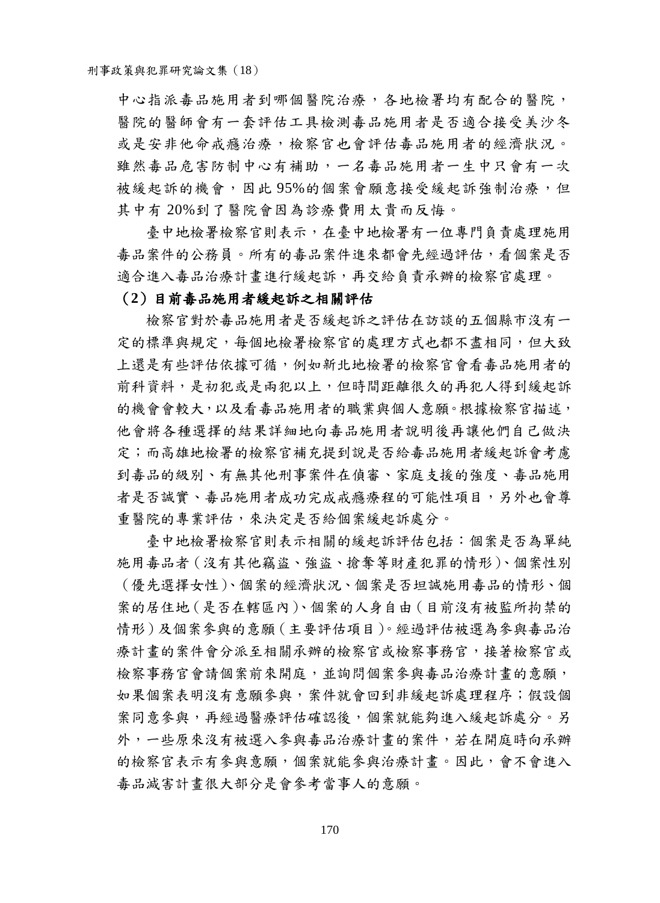中心指派毒品施用者到哪個醫院治療,各地檢署均有配合的醫院, 醫院的醫師會有一套評估工具檢測毒品施用者是否適合接受美沙冬 或是安非他命戒癮治療,檢察官也會評估毒品施用者的經濟狀況。 雖然毒品危害防制中心有補助,一名毒品施用者一生中只會有一次 被緩起訴的機會,因此 95%的個案會願意接受緩起訴強制治療,但 其中有 20%到了醫院會因為診療費用太貴而反悔。

臺中地檢署檢察官則表示,在臺中地檢署有一位專門負責處理施用 毒品案件的公務員。所有的毒品案件進來都會先經過評估,看個案是否 適合進入毒品治療計畫進行緩起訴,再交給負責承辦的檢察官處理。

#### (**2**)目前毒品施用者緩起訴之相關評估

檢察官對於毒品施用者是否緩起訴之評估在訪談的五個縣市沒有一 定的標準與規定,每個地檢署檢察官的處理方式也都不盡相同,但大致 上還是有些評估依據可循,例如新北地檢署的檢察官會看毒品施用者的 前科資料,是初犯或是兩犯以上,但時間距離很久的再犯人得到緩起訴 的機會會較大,以及看毒品施用者的職業與個人意願。根據檢察官描述, 他會將各種選擇的結果詳細地向毒品施用者說明後再讓他們自己做決 定;而高雄地檢署的檢察官補充提到說是否給毒品施用者緩起訴會考慮 到毒品的級別、有無其他刑事案件在偵審、家庭支援的強度、毒品施用 者是否誠實、毒品施用者成功完成戒癮療程的可能性項目,另外也會尊 重醫院的專業評估,來決定是否給個案緩起訴處分。

臺中地檢署檢察官則表示相關的緩起訴評估包括:個案是否為單純 施用毒品者(沒有其他竊盜、強盜、搶奪等財產犯罪的情形)、個案性別 (優先選擇女性)、個案的經濟狀況、個案是否坦誠施用毒品的情形、個 案的居住地(是否在轄區內)、個案的人身自由(目前沒有被監所拘禁的 情形)及個案參與的意願(主要評估項目)。經過評估被選為參與毒品治 療計書的案件會分派至相關承辦的檢察官或檢察事務官,接著檢察官或 檢察事務官會請個案前來開庭,並詢問個案參與毒品治療計畫的意願, 如果個案表明沒有意願參與,案件就會回到非緩起訴處理程序;假設個 案同意參與,再經過醫療評估確認後,個案就能夠進入緩起訴處分。另 外,一些原來沒有被選入參與毒品治療計畫的案件,若在開庭時向承辦 的檢察官表示有參與意願,個案就能參與治療計畫。因此,會不會進入 毒品減害計畫很大部分是會參考當事人的意願。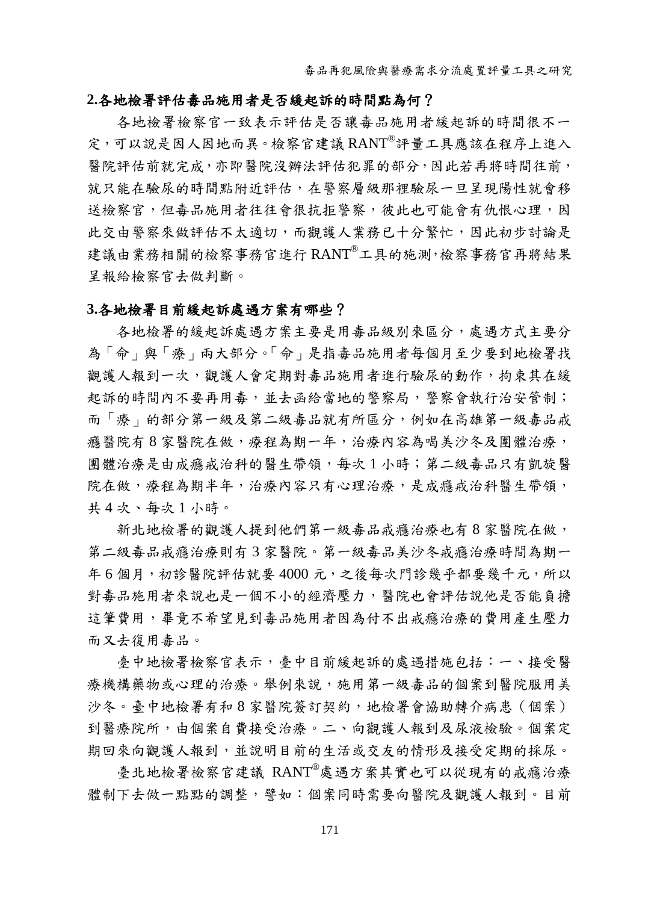#### **2.**各地檢署評估毒品施用者是否緩起訴的時間點為何?

各地檢署檢察官一致表示評估是否讓毒品施用者緩起訴的時間很不一 定,可以說是因人因地而異。檢察官建議 RANT®評量工具應該在程序上進入 醫院評估前就完成,亦即醫院沒辦法評估犯罪的部分,因此若再將時間往前, 就只能在驗尿的時間點附近評估,在警察層級那裡驗尿一旦呈現陽性就會移 送檢察官,但毒品施用者往往會很抗拒警察,彼此也可能會有仇恨心理,因 此交由警察來做評估不太適切,而觀護人業務已十分繁忙,因此初步討論是 建議由業務相關的檢察事務官進行 RANT®工具的施測,檢察事務官再將結果 呈報給檢察官去做判斷。

#### **3.**各地檢署目前緩起訴處遇方案有哪些?

各地檢署的緩起訴處遇方案主要是用毒品級別來區分,處遇方式主要分 為「命」與「療」兩大部分。「命」是指毒品施用者每個月至少要到地檢署找 觀護人報到一次,觀護人會定期對毒品施用者進行驗尿的動作,拘束其在緩 起訴的時間內不要再用毒,並去函給當地的警察局,警察會執行治安管制; 而「療」的部分第一級及第二級毒品就有所區分,例如在高雄第一級毒品戒 癮醫院有 8 家醫院在做,療程為期一年,治療內容為喝美沙冬及團體治療, 團體治療是由成癮戒治科的醫生帶領,每次 1 小時;第二級毒品只有凱旋醫 院在做,療程為期半年,治療內容只有心理治療,是成癮戒治科醫生帶領, 共 4 次、每次 1 小時。

新北地檢署的觀護人提到他們第一級毒品戒癮治療也有8家醫院在做, 第二級毒品戒癮治療則有 3 家醫院。第一級毒品美沙冬戒癮治療時間為期一 年 6 個月,初診醫院評估就要 4000 元,之後每次門診幾乎都要幾千元,所以 對毒品施用者來說也是一個不小的經濟壓力,醫院也會評估說他是否能負擔 這筆費用,畢竟不希望見到毒品施用者因為付不出戒癮治療的費用產生壓力 而又去復用毒品。

臺中地檢署檢察官表示,臺中目前緩起訴的處遇措施包括:一、接受醫 療機構藥物或心理的治療。舉例來說,施用第一級毒品的個案到醫院服用美 沙冬。臺中地檢署有和 8 家醫院簽訂契約,地檢署會協助轉介病患(個案) 到醫療院所,由個案自費接受治療。二、向觀護人報到及尿液檢驗。個案定 期回來向觀護人報到,並說明目前的生活或交友的情形及接受定期的採尿。

臺北地檢署檢察官建議 RANT® 處遇方案其實也可以從現有的戒癮治療 體制下去做一點點的調整,譬如:個案同時需要向醫院及觀護人報到。目前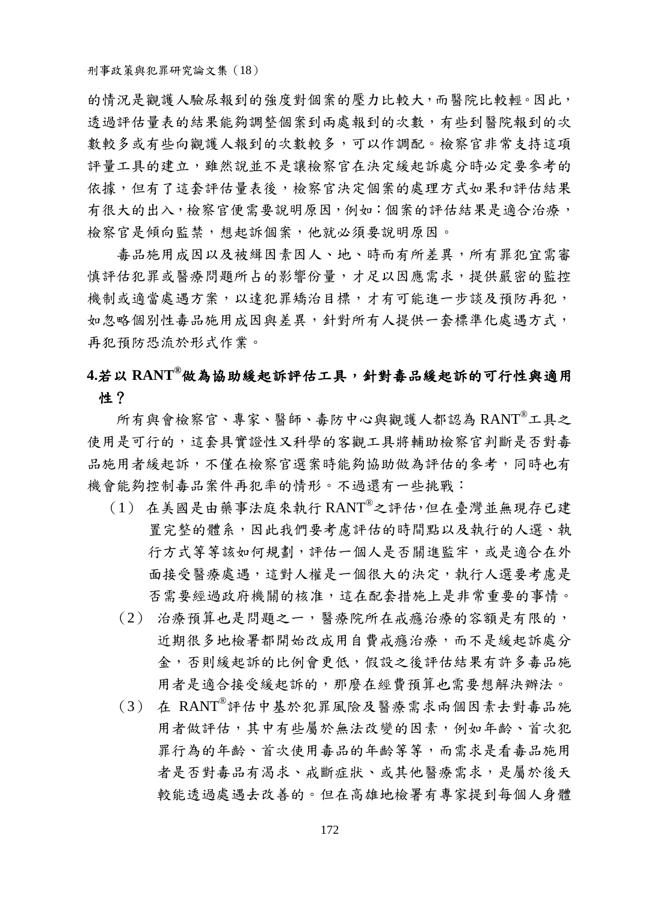的情況是觀護人驗尿報到的強度對個案的壓力比較大,而醫院比較輕。因此, 透過評估量表的結果能夠調整個案到兩處報到的次數,有些到醫院報到的次 數較多或有些向觀護人報到的次數較多,可以作調配。檢察官非常支持這項 評量工具的建立,雖然說並不是讓檢察官在決定緩起訴處分時必定要參考的 依據,但有了這套評估量表後,檢察官決定個案的處理方式如果和評估結果 有很大的出入,檢察官便需要說明原因,例如:個案的評估結果是適合治療, 檢察官是傾向監禁,想起訴個案,他就必須要說明原因。

毒品施用成因以及被緝因素因人、地、時而有所差異,所有罪犯宜需審 慎評估犯罪或醫療問題所占的影響份量,才足以因應需求,提供嚴密的監控 機制或適當處遇方案,以達犯罪矯治目標,才有可能進一步談及預防再犯, 如忽略個別性毒品施用成因與差異,針對所有人提供一套標準化處遇方式, 再犯預防恐流於形式作業。

# **4.**若以 **RANT®** 做為協助緩起訴評估工具,針對毒品緩起訴的可行性與適用 性?

所有與會檢察官、專家、醫師、毒防中心與觀護人都認為 RANT®工具之 使用是可行的,這套具實證性又科學的客觀工具將輔助檢察官判斷是否對毒 品施用者緩起訴,不僅在檢察官選案時能夠協助做為評估的參考,同時也有 機會能夠控制毒品案件再犯率的情形。不過還有一些挑戰:

- (1) 在美國是由藥事法庭來執行 RANT®之評估,但在臺灣並無現存已建 置完整的體系,因此我們要考慮評估的時間點以及執行的人選、執 行方式等等該如何規劃,評估一個人是否關進監牢,或是適合在外 面接受醫療處遇,這對人權是一個很大的決定,執行人選要考慮是 否需要經過政府機關的核准,這在配套措施上是非常重要的事情。
	- (2) 治療預算也是問題之一,醫療院所在戒癮治療的容額是有限的, 近期很多地檢署都開始改成用自費戒癮治療,而不是緩起訴處分 金,否則緩起訴的比例會更低,假設之後評估結果有許多毒品施 用者是適合接受緩起訴的,那麼在經費預算也需要想解決辦法。
	- (3) 在 RANT® 評估中基於犯罪風險及醫療需求兩個因素去對毒品施 用者做評估,其中有些屬於無法改變的因素,例如年齡、首次犯 罪行為的年齡、首次使用毒品的年齡等等,而需求是看毒品施用 者是否對毒品有渴求、戒斷症狀、或其他醫療需求,是屬於後天 較能透過處遇去改善的。但在高雄地檢署有專家提到每個人身體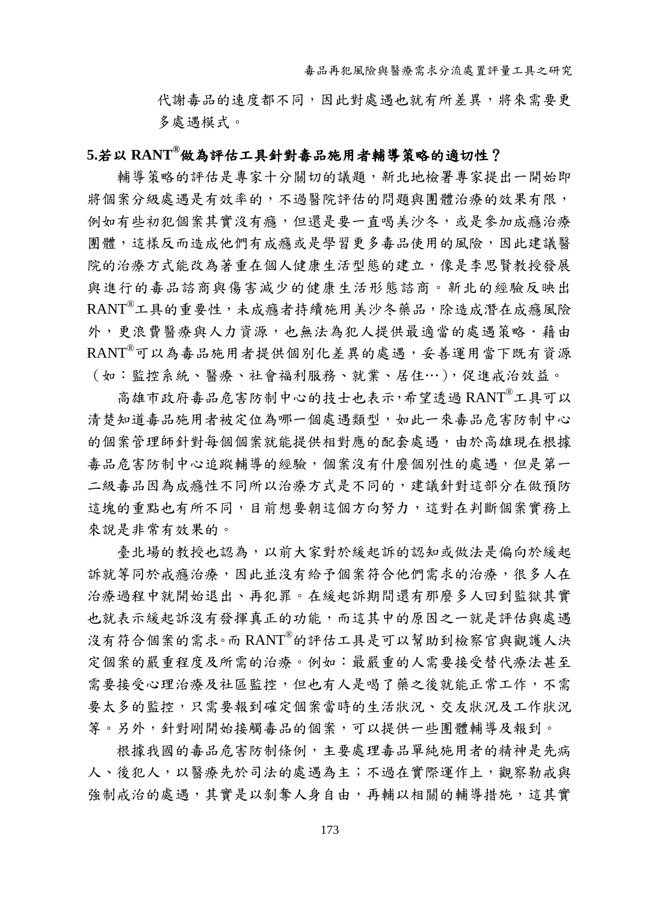代謝毒品的速度都不同,因此對處遇也就有所差異,將來需要更 多處遇模式。

### **5.**若以 **RANT®**做為評估工具針對毒品施用者輔導策略的適切性?

輔導策略的評估是專家十分關切的議題,新北地檢署專家提出一開始即 將個案分級處遇是有效率的,不過醫院評估的問題與團體治療的效果有限, 例如有些初犯個案其實沒有癮,但還是要一直喝美沙冬,或是參加成癮治療 團體,這樣反而造成他們有成癮或是學習更多毒品使用的風險,因此建議醫 院的治療方式能改為著重在個人健康生活型態的建立,像是李思賢教授發展 與進行的毒品諮商與傷害減少的健康生活形態諮商。新北的經驗反映出 RANT®工具的重要性,未成癮者持續施用美沙冬藥品,除造成潛在成癮風險 外,更浪費醫療與人力資源,也無法為犯人提供最適當的處遇策略,藉由 RANT® 可以為毒品施用者提供個別化差異的處遇,妥善運用當下既有資源 (如:監控系統、醫療、社會福利服務、就業、居住…),促進戒治效益。

高雄市政府毒品危害防制中心的技士也表示,希望透過 RANT®工具可以 清楚知道毒品施用者被定位為哪一個處遇類型,如此一來毒品危害防制中心 的個案管理師針對每個個案就能提供相對應的配套處遇,由於高雄現在根據 毒品危害防制中心追蹤輔導的經驗,個案沒有什麼個別性的處遇,但是第一 二級毒品因為成癮性不同所以治療方式是不同的,建議針對這部分在做預防 這塊的重點也有所不同,目前想要朝這個方向努力,這對在判斷個案實務上 來說是非常有效果的。

臺北場的教授也認為,以前大家對於緩起訴的認知或做法是偏向於緩起 訴就等同於戒癮治療,因此並沒有給予個案符合他們需求的治療,很多人在 治療過程中就開始退出、再犯罪。在緩起訴期間還有那麼多人回到監獄其實 也就表示緩起訴沒有發揮真正的功能,而這其中的原因之一就是評估與處遇 沒有符合個案的需求。而 RANT®的評估工具是可以幫助到檢察官與觀護人決 定個案的嚴重程度及所需的治療。例如:最嚴重的人需要接受替代療法甚至 需要接受心理治療及社區監控,但也有人是喝了藥之後就能正常工作,不需 要太多的監控,只需要報到確定個案當時的生活狀況、交友狀況及工作狀況 等。另外,針對剛開始接觸毒品的個案,可以提供一些團體輔導及報到。

根據我國的毒品危害防制條例,主要處理毒品單純施用者的精神是先病 人、後犯人,以醫療先於司法的處遇為主;不過在實際運作上,觀察勒戒與 強制戒治的處遇,其實是以剝奪人身自由,再輔以相關的輔導措施,這其實

173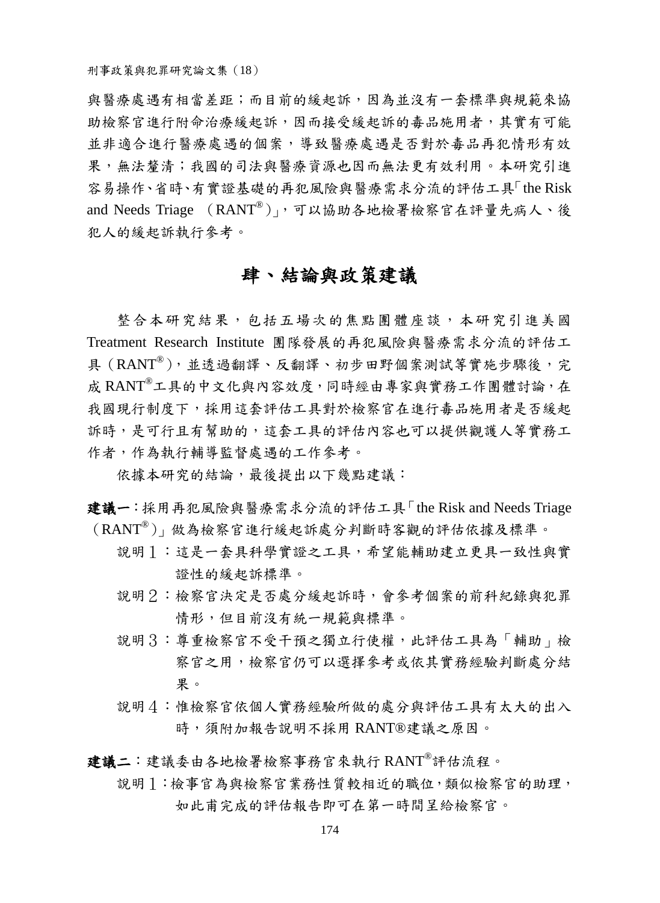與醫療處遇有相當差距;而目前的緩起訴,因為並沒有一套標準與規範來協 助檢察官進行附命治療緩起訴,因而接受緩起訴的毒品施用者,其實有可能 並非適合進行醫療處遇的個案,導致醫療處遇是否對於毒品再犯情形有效 果,無法覺清;我國的司法與醫療資源也因而無法更有效利用。本研究引進 容易操作、省時、有實證基礎的再犯風險與醫療需求分流的評估工具「the Risk and Needs Triage (RANT®)」,可以協助各地檢署檢察官在評量先病人、後 犯人的緩起訴執行參考。

# 肆、結論與政策建議

整合本研究結果,包括五場次的焦點團體座談,本研究引進美國 Treatment Research Institute 團隊發展的再犯風險與醫療需求分流的評估工 具(RANT®),並透過翻譯、反翻譯、初步田野個案測試等實施步驟後,完 成 RANT®工具的中文化與內容效度,同時經由專家與實務工作團體討論,在 我國現行制度下,採用這套評估工具對於檢察官在進行毒品施用者是否緩起 訴時,是可行且有幫助的,這套工具的評估內容也可以提供觀護人等實務工 作者,作為執行輔導監督處遇的工作參考。

依據本研究的結論,最後提出以下幾點建議:

建議一:採用再犯風險與醫療需求分流的評估工具「the Risk and Needs Triage (RANT®)」做為檢察官進行緩起訴處分判斷時客觀的評估依據及標準。

- 說明1:這是一套具科學實證之工具,希望能輔助建立更具一致性與實 證性的緩起訴標準。
- 說明2:檢察官決定是否處分緩起訴時,會參考個案的前科紀錄與犯罪 情形,但目前沒有統一規範與標準。
- 說明3:尊重檢察官不受干預之獨立行使權,此評估工具為「輔助」檢 察官之用,檢察官仍可以選擇參考或依其實務經驗判斷處分結 果。
- 說明4:惟檢察官依個人實務經驗所做的處分與評估工具有太大的出入 時,須附加報告說明不採用 RANT® 建議之原因。

建議二:建議委由各地檢署檢察事務官來執行 RANT®評估流程。

說明1:檢事官為與檢察官業務性質較相近的職位,類似檢察官的助理, 如此甫完成的評估報告即可在第一時間呈給檢察官。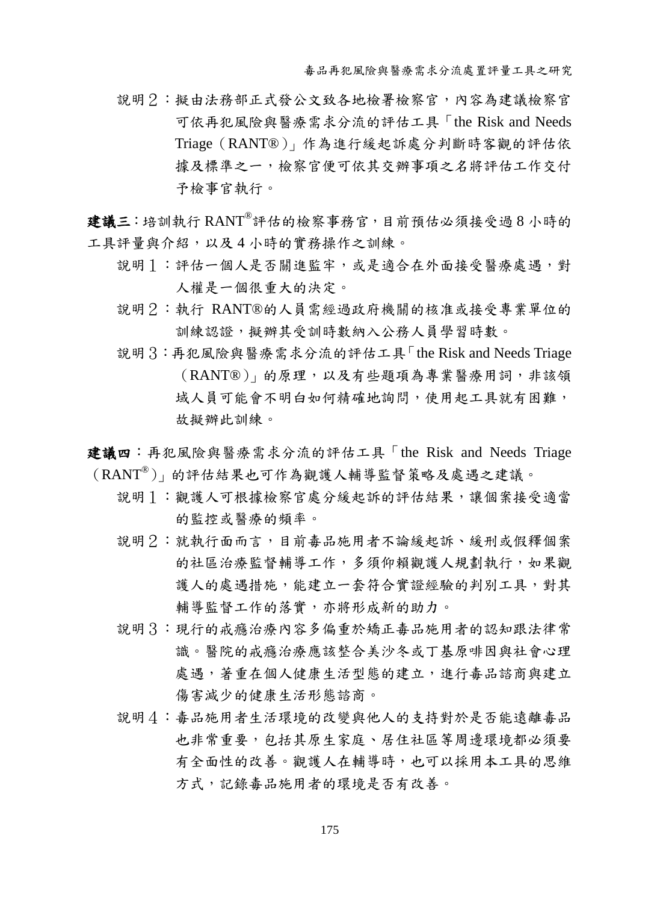- 說明2:擬由法務部正式發公文致各地檢署檢察官,內容為建議檢察官 可依再犯風險與醫療需求分流的評估工具「the Risk and Needs Triage(RANT® )」作為進行緩起訴處分判斷時客觀的評估依 據及標準之一,檢察官便可依其交辦事項之名將評估工作交付 予檢事官執行。
- 建議三:培訓執行 RANT®評估的檢察事務官,目前預估必須接受過8小時的 工具評量與介紹,以及4小時的實務操作之訓練。
	- 說明1:評估一個人是否關進監牢,或是適合在外面接受醫療處遇,對 人權是一個很重大的決定。
	- 說明2:執行 RANT® 的人員需經過政府機關的核准或接受專業單位的 訓練認證,擬辦其受訓時數納入公務人員學習時數。
	- 說明3:再犯風險與醫療需求分流的評估工具「the Risk and Needs Triage (RANT® )」的原理,以及有些題項為專業醫療用詞,非該領 域人員可能會不明白如何精確地詢問,使用起工具就有困難, 故擬辦此訓練。

建議四:再犯風險與醫療需求分流的評估工具「the Risk and Needs Triage (RANT®)」的評估結果也可作為觀護人輔導監督策略及處遇之建議。

- 說明1:觀護人可根據檢察官處分緩起訴的評估結果,讓個案接受適當 的監控或醫療的頻率。
- 說明2:就執行面而言,目前毒品施用者不論緩起訴、緩刑或假釋個案 的社區治療監督輔導工作,多須仰賴觀護人規劃執行,如果觀 護人的處遇措施,能建立一套符合實證經驗的判別工具,對其 輔導監督工作的落實,亦將形成新的助力。
- 說明3:現行的戒癮治療內容多偏重於矯正毒品施用者的認知跟法律常 識。醫院的戒癮治療應該整合美沙冬或丁基原啡因與社會心理 處遇, 著重在個人健康生活型態的建立, 進行毒品諮商與建立 傷害減少的健康生活形態諮商。
- 說明4:毒品施用者生活環境的改變與他人的支持對於是否能遠離毒品 也非常重要,包括其原生家庭、居住社區等周邊環境都必須要 有全面性的改善。觀護人在輔導時,也可以採用本工具的思維 方式,記錄毒品施用者的環境是否有改善。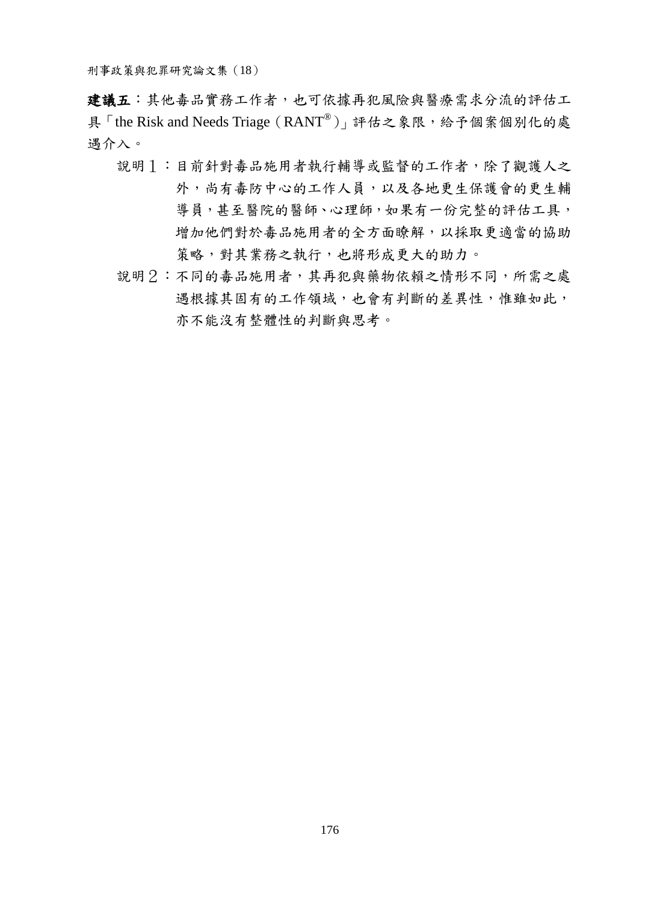建議五:其他毒品實務工作者,也可依據再犯風險與醫療需求分流的評估工 具「the Risk and Needs Triage (RANT®)」評估之象限,給予個案個別化的處 遇介入。

- 說明1:目前針對毒品施用者執行輔導或監督的工作者,除了觀護人之 外,尚有毒防中心的工作人員,以及各地更生保護會的更生輔 導員,甚至醫院的醫師、心理師,如果有一份完整的評估工具, 增加他們對於毒品施用者的全方面瞭解,以採取更適當的協助 策略,對其業務之執行,也將形成更大的助力。
- 說明2:不同的毒品施用者,其再犯與藥物依賴之情形不同,所需之處 遇根據其固有的工作領域,也會有判斷的差異性,惟雖如此, 亦不能沒有整體性的判斷與思考。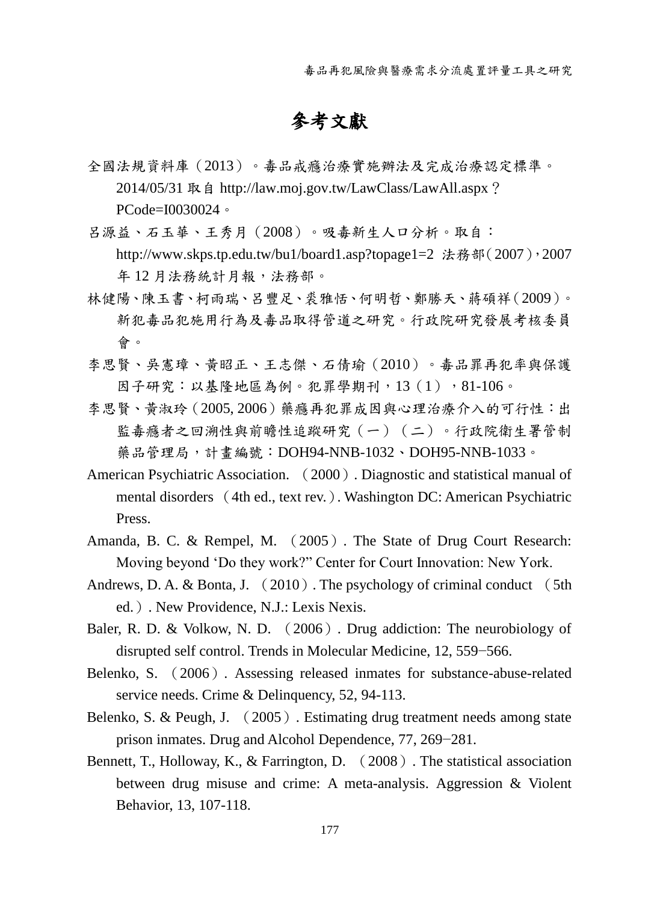毒品再犯風險與醫療需求分流處置評量工具之研究

# 參考文獻

全國法規資料庫(2013)。毒品戒癮治療實施辦法及完成治療認定標準。 2014/05/31 取自 [http://law.moj.gov.tw/LawClass/LawAll.aspx](http://law.moj.gov.tw/LawClass/LawAll.aspx？PCode=I0030024)? [PCode=I0030024](http://law.moj.gov.tw/LawClass/LawAll.aspx？PCode=I0030024)。

呂源益、石玉華、王秀月(2008)。吸毒新生人口分析。取自: http://www.skps.tp.edu.tw/bu1/board1.asp?topage1=2 法務部(2007), 2007 年 12 月法務統計月報,法務部。

- 林健陽、陳玉書、柯雨瑞、呂豐足、裘雅恬、何明哲、鄭勝天、蔣碩祥(2009)。 新犯毒品犯施用行為及毒品取得管道之研究。行政院研究發展考核委員 會。
- 李思賢、吳憲璋、黃昭正、王志傑、石倩瑜(2010)。毒品罪再犯率與保護 因子研究:以基隆地區為例。犯罪學期刊,13(1),81-106。
- 李思賢、黃淑玲(2005, 2006)藥癮再犯罪成因與心理治療介入的可行性:出 監毒癮者之回溯性與前瞻性追蹤研究(一)(二)。行政院衛生署管制 藥品管理局,計畫編號:DOH94-NNB-1032、DOH95-NNB-1033。
- American Psychiatric Association. (2000). Diagnostic and statistical manual of mental disorders (4th ed., text rev.). Washington DC: American Psychiatric Press.
- Amanda, B. C. & Rempel, M. (2005). The State of Drug Court Research: Moving beyond 'Do they work?" Center for Court Innovation: New York.
- Andrews, D. A. & Bonta, J.  $(2010)$ . The psychology of criminal conduct  $(5th)$ ed.). New Providence, N.J.: Lexis Nexis.
- Baler, R. D. & Volkow, N. D. (2006). Drug addiction: The neurobiology of disrupted self control. Trends in Molecular Medicine, 12, 559−566.
- Belenko, S. (2006). Assessing released inmates for substance-abuse-related service needs. Crime & Delinquency, 52, 94-113.
- Belenko, S. & Peugh, J. (2005). Estimating drug treatment needs among state prison inmates. Drug and Alcohol Dependence, 77, 269−281.
- Bennett, T., Holloway, K., & Farrington, D. (2008). The statistical association between drug misuse and crime: A meta-analysis. Aggression & Violent Behavior, 13, 107-118.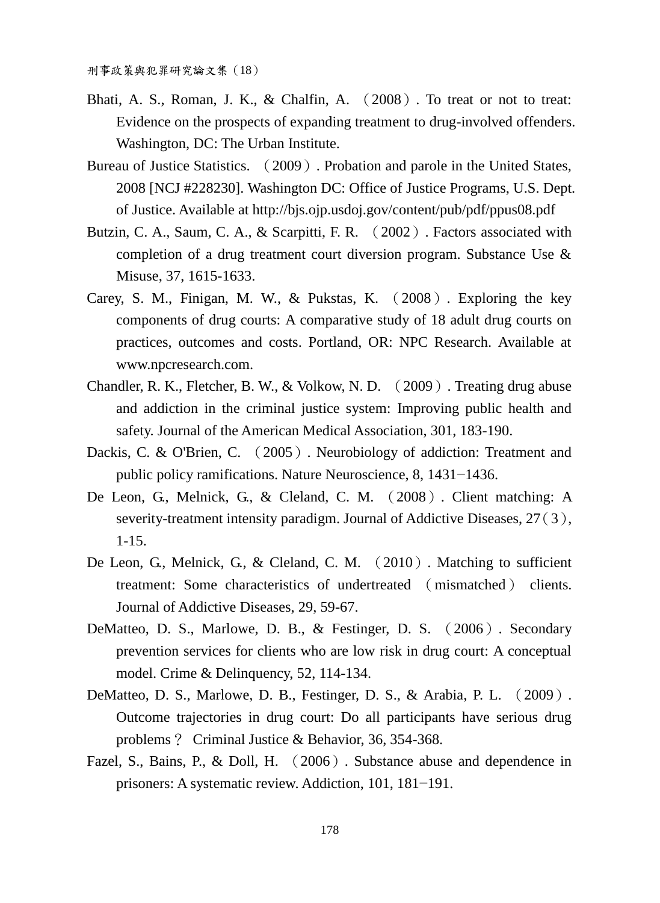- Bhati, A. S., Roman, J. K., & Chalfin, A. (2008). To treat or not to treat: Evidence on the prospects of expanding treatment to drug-involved offenders. Washington, DC: The Urban Institute.
- Bureau of Justice Statistics. (2009). Probation and parole in the United States, 2008 [NCJ #228230]. Washington DC: Office of Justice Programs, U.S. Dept. of Justice. Available at http://bjs.ojp.usdoj.gov/content/pub/pdf/ppus08.pdf
- Butzin, C. A., Saum, C. A., & Scarpitti, F. R. (2002). Factors associated with completion of a drug treatment court diversion program. Substance Use & Misuse, 37, 1615-1633.
- Carey, S. M., Finigan, M. W., & Pukstas, K. (2008). Exploring the key components of drug courts: A comparative study of 18 adult drug courts on practices, outcomes and costs. Portland, OR: NPC Research. Available at www.npcresearch.com.
- Chandler, R. K., Fletcher, B. W., & Volkow, N. D. (2009). Treating drug abuse and addiction in the criminal justice system: Improving public health and safety. Journal of the American Medical Association, 301, 183-190.
- Dackis, C. & O'Brien, C. (2005). Neurobiology of addiction: Treatment and public policy ramifications. Nature Neuroscience, 8, 1431−1436.
- De Leon, G., Melnick, G., & Cleland, C. M. (2008). Client matching: A severity-treatment intensity paradigm. Journal of Addictive Diseases, 27(3), 1-15.
- De Leon, G., Melnick, G., & Cleland, C. M. (2010). Matching to sufficient treatment: Some characteristics of undertreated (mismatched) clients. Journal of Addictive Diseases, 29, 59-67.
- DeMatteo, D. S., Marlowe, D. B., & Festinger, D. S. (2006). Secondary prevention services for clients who are low risk in drug court: A conceptual model. Crime & Delinquency, 52, 114-134.
- DeMatteo, D. S., Marlowe, D. B., Festinger, D. S., & Arabia, P. L. (2009). Outcome trajectories in drug court: Do all participants have serious drug problems? Criminal Justice & Behavior, 36, 354-368.
- Fazel, S., Bains, P., & Doll, H. (2006). Substance abuse and dependence in prisoners: A systematic review. Addiction, 101, 181−191.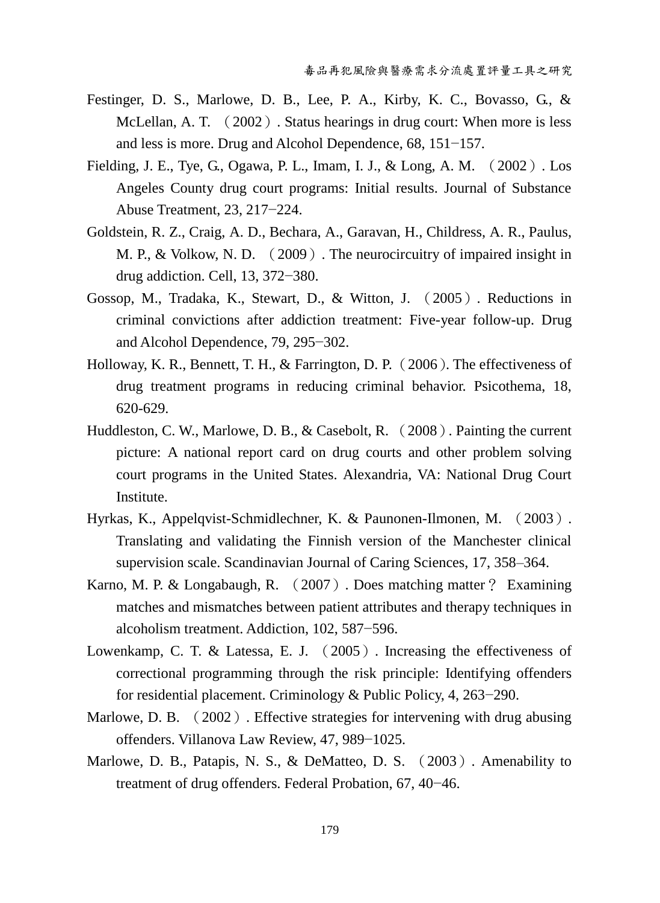- Festinger, D. S., Marlowe, D. B., Lee, P. A., Kirby, K. C., Bovasso, G., & McLellan, A. T. (2002). Status hearings in drug court: When more is less and less is more. Drug and Alcohol Dependence, 68, 151−157.
- Fielding, J. E., Tye, G., Ogawa, P. L., Imam, I. J., & Long, A. M. (2002). Los Angeles County drug court programs: Initial results. Journal of Substance Abuse Treatment, 23, 217−224.
- Goldstein, R. Z., Craig, A. D., Bechara, A., Garavan, H., Childress, A. R., Paulus, M. P., & Volkow, N. D. (2009). The neurocircuitry of impaired insight in drug addiction. Cell, 13, 372−380.
- Gossop, M., Tradaka, K., Stewart, D., & Witton, J. (2005). Reductions in criminal convictions after addiction treatment: Five-year follow-up. Drug and Alcohol Dependence, 79, 295−302.
- Holloway, K. R., Bennett, T. H., & Farrington, D. P. (2006). The effectiveness of drug treatment programs in reducing criminal behavior. Psicothema, 18, 620-629.
- Huddleston, C. W., Marlowe, D. B., & Casebolt, R. (2008). Painting the current picture: A national report card on drug courts and other problem solving court programs in the United States. Alexandria, VA: National Drug Court Institute.
- <span id="page-24-0"></span>Hyrkas, K., Appelqvist-Schmidlechner, K. & Paunonen-Ilmonen, M. ([2003](#page-11-0)). Translating and validating the Finnish version of the Manchester clinical supervision scale. Scandinavian Journal of Caring Sciences, 17, 358–364.
- Karno, M. P. & Longabaugh, R. (2007). Does matching matter? Examining matches and mismatches between patient attributes and therapy techniques in alcoholism treatment. Addiction, 102, 587−596.
- Lowenkamp, C. T. & Latessa, E. J. (2005). Increasing the effectiveness of correctional programming through the risk principle: Identifying offenders for residential placement. Criminology & Public Policy, 4, 263−290.
- Marlowe, D. B. (2002). Effective strategies for intervening with drug abusing offenders. Villanova Law Review, 47, 989−1025.
- Marlowe, D. B., Patapis, N. S., & DeMatteo, D. S. (2003). Amenability to treatment of drug offenders. Federal Probation, 67, 40−46.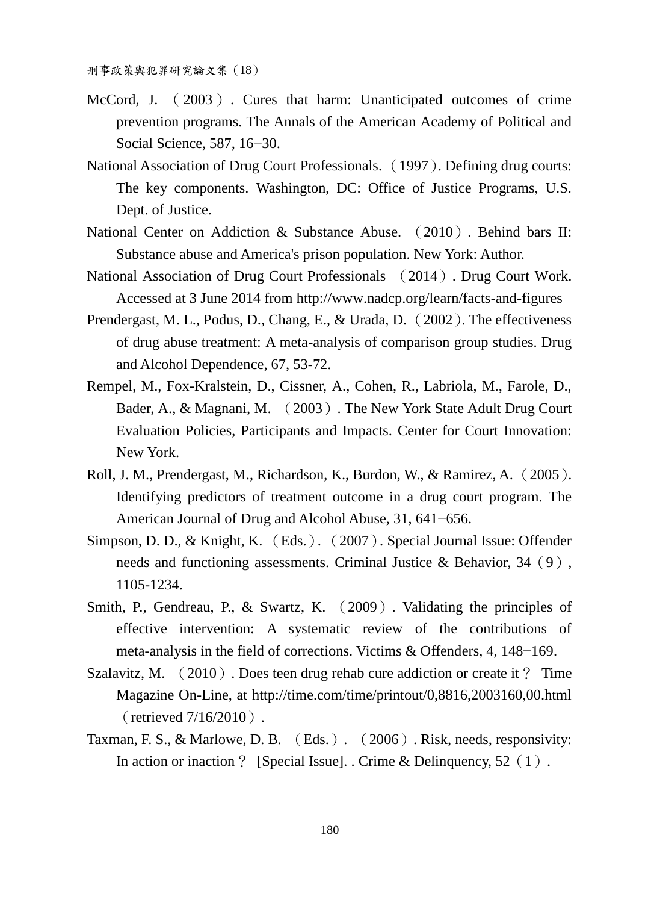- McCord, J. (2003). Cures that harm: Unanticipated outcomes of crime prevention programs. The Annals of the American Academy of Political and Social Science, 587, 16−30.
- National Association of Drug Court Professionals. (1997). Defining drug courts: The key components. Washington, DC: Office of Justice Programs, U.S. Dept. of Justice.
- National Center on Addiction & Substance Abuse. (2010). Behind bars II: Substance abuse and America's prison population. New York: Author.
- National Association of Drug Court Professionals (2014). Drug Court Work. Accessed at 3 June 2014 from http://www.nadcp.org/learn/facts-and-figures
- Prendergast, M. L., Podus, D., Chang, E., & Urada, D. (2002). The effectiveness of drug abuse treatment: A meta-analysis of comparison group studies. Drug and Alcohol Dependence, 67, 53-72.
- Rempel, M., Fox-Kralstein, D., Cissner, A., Cohen, R., Labriola, M., Farole, D., Bader, A., & Magnani, M. (2003). The New York State Adult Drug Court Evaluation Policies, Participants and Impacts. Center for Court Innovation: New York.
- Roll, J. M., Prendergast, M., Richardson, K., Burdon, W., & Ramirez, A. (2005). Identifying predictors of treatment outcome in a drug court program. The American Journal of Drug and Alcohol Abuse, 31, 641−656.
- Simpson, D. D., & Knight, K. (Eds.). (2007). Special Journal Issue: Offender needs and functioning assessments. Criminal Justice & Behavior, 34 (9), 1105-1234.
- Smith, P., Gendreau, P., & Swartz, K. (2009). Validating the principles of effective intervention: A systematic review of the contributions of meta-analysis in the field of corrections. Victims & Offenders, 4, 148−169.
- Szalavitz, M. (2010). Does teen drug rehab cure addiction or create it? Time Magazine On-Line, at http://time.com/time/printout/0,8816,2003160,00.html (retrieved 7/16/2010).
- Taxman, F. S., & Marlowe, D. B. (Eds.). (2006). Risk, needs, responsivity: In action or inaction ? [Special Issue]. . Crime & Delinquency,  $52(1)$ .